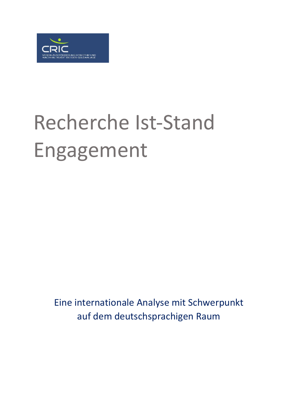

# Recherche Ist-Stand Engagement

Eine internationale Analyse mit Schwerpunkt auf dem deutschsprachigen Raum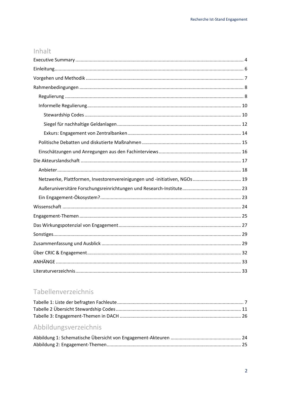## Inhalt

| Netzwerke, Plattformen, Investorenvereinigungen und -initiativen, NGOs  19 |  |
|----------------------------------------------------------------------------|--|
|                                                                            |  |
|                                                                            |  |
|                                                                            |  |
|                                                                            |  |
|                                                                            |  |
|                                                                            |  |
|                                                                            |  |
|                                                                            |  |
|                                                                            |  |
|                                                                            |  |

# Tabellenverzeichnis

# Abbildungsverzeichnis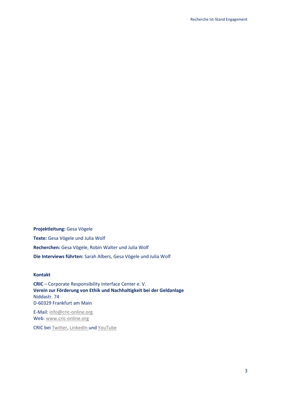**Projektleitung:** Gesa Vögele **Texte:** Gesa Vögele und Julia Wolf **Recherchen:** Gesa Vögele, Robin Walter und Julia Wolf **Die Interviews führten:** Sarah Albers, Gesa Vögele und Julia Wolf

#### **Kontakt**

**CRIC** – Corporate Responsibility Interface Center e. V. **Verein zur Förderung von Ethik und Nachhaltigkeit bei der Geldanlage** Niddastr. 74 D-60329 Frankfurt am Main

E-Mail[: info@cric-online.org](mailto:info@cric-online.org) Web: [www.cric-online.org](http://www.cric-online.org/)

CRIC bei [Twitter,](https://twitter.com/CRIC_eV) [LinkedIn](http://www.linkedin.com/company/cric-e-v-verein-zur-foerderung-von-ethik-und-nachhaltigkeit-bei-der-geldanlage) und [YouTube](https://www.youtube.com/channel/UCnXY3fwp9zsHHd7SiPZ_7_w)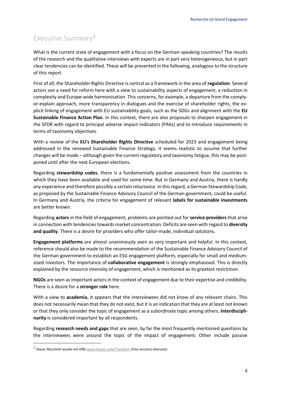# <span id="page-3-0"></span>Executive Summary<sup>1</sup>

What is the current state of engagement with a focus on the German-speaking countries? The results of the research and the qualitative interviews with experts are in part very heterogeneous, but in part clear tendencies can be identified. These will be presented in the following, analogous to the structure of this report.

First of all, the Shareholder Rights Directive is central as a framework in the area of **regulation**. Several actors see a need for reform here with a view to sustainability aspects of engagement, a reduction in complexity and Europe-wide harmonisation. This concerns, for example, a departure from the complyor-explain approach, more transparency in dialogues and the exercise of shareholder rights, the explicit linking of engagement with EU sustainability goals, such as the SDGs and alignment with the **EU Sustainable Finance Action Plan**. In this context, there are also proposals to sharpen engagement in the SFDR with regard to principal adverse impact indicators (PAIIs) and to introduce requirements in terms of taxonomy objectives.

With a review of the **EU's Shareholder Rights Directive** scheduled for 2023 and engagement being addressed in the renewed Sustainable Finance Strategy, it seems realistic to assume that further changes will be made – although given the current regulatory and taxonomy fatigue, this may be postponed until after the next European elections.

Regarding **stewardship codes**, there is a fundamentally positive assessment from the countries in which they have been available and used for some time. But in Germany and Austria, there is hardly any experience and therefore possibly a certain reluctance. In this regard, a German Stewardship Code, as proposed by the Sustainable Finance Advisory Council of the German government, could be useful. In Germany and Austria, the criteria for engagement of relevant **labels for sustainable investments** are better known.

Regarding **actors** in the field of engagement, problems are pointed out for **service providers** that arise in connection with tendencies towards market concentration. Deficits are seen with regard to **diversity and quality**. There is a desire for providers who offer tailor-made, individual solutions.

**Engagement platforms** are almost unanimously seen as very important and helpful. In this context, reference should also be made to the recommendation of the Sustainable Finance Advisory Council of the German government to establish an ESG engagement platform, especially for small and mediumsized investors. The importance of **collaborative engagement** is strongly emphasised. This is directly explained by the resource intensity of engagement, which is mentioned as its greatest restriction.

**NGOs** are seen as important actors in the context of engagement due to their expertise and credibility. There is a desire for a **stronger role** here.

With a view to **academia**, it appears that the interviewees did not know of any relevant chairs. This does not necessarily mean that they do not exist, but it is an indication that they are at least not known or that they only consider the topic of engagement as a subordinate topic among others**. Interdisciplinarity** is considered important by all respondents.

Regarding **research needs and gaps** that are seen, by far the most frequently mentioned questions by the interviewees were around the topic of the impact of engagement. Other include passive

<sup>&</sup>lt;sup>1</sup> Dieser Abschnitt wurde mit Hilf[e www.DeepL.com/Translator](http://www.deepl.com/Translator) (free version) übersetzt.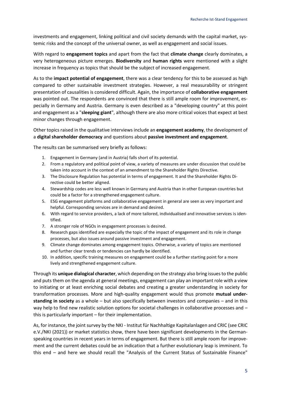investments and engagement, linking political and civil society demands with the capital market, systemic risks and the concept of the universal owner, as well as engagement and social issues.

With regard to **engagement topics** and apart from the fact that **climate change** clearly dominates, a very heterogeneous picture emerges. **Biodiversity** and **human rights** were mentioned with a slight increase in frequency as topics that should be the subject of increased engagement.

As to the **impact potential of engagement**, there was a clear tendency for this to be assessed as high compared to other sustainable investment strategies. However, a real measurability or stringent presentation of causalities is considered difficult. Again, the importance of **collaborative engagement** was pointed out. The respondents are convinced that there is still ample room for improvement, especially in Germany and Austria. Germany is even described as a "developing country" at this point and engagement as a "**sleeping giant**", although there are also more critical voices that expect at best minor changes through engagement.

Other topics raised in the qualitative interviews include an **engagement academy**, the development of a **digital shareholder democracy** and questions about **passive investment and engagement**.

The results can be summarised very briefly as follows:

- 1. Engagement in Germany (and in Austria) falls short of its potential.
- 2. From a regulatory and political point of view, a variety of measures are under discussion that could be taken into account in the context of an amendment to the Shareholder Rights Directive.
- 3. The Disclosure Regulation has potential in terms of engagement. It and the Shareholder Rights Directive could be better aligned.
- 4. Stewardship codes are less well known in Germany and Austria than in other European countries but could be a factor for a strengthened engagement culture.
- 5. ESG engagement platforms and collaborative engagement in general are seen as very important and helpful. Corresponding services are in demand and desired.
- 6. With regard to service providers, a lack of more tailored, individualised and innovative services is identified.
- 7. A stronger role of NGOs in engagement processes is desired.
- 8. Research gaps identified are especially the topic of the impact of engagement and its role in change processes, but also issues around passive investment and engagement.
- 9. Climate change dominates among engagement topics. Otherwise, a variety of topics are mentioned and further clear trends or tendencies can hardly be identified.
- 10. In addition, specific training measures on engagement could be a further starting point for a more lively and strengthened engagement culture.

Through its **unique dialogical character**, which depending on the strategy also bring issues to the public and puts them on the agenda at general meetings, engagement can play an important role with a view to initiating or at least enriching social debates and creating a greater understanding in society for transformation processes. More and high-quality engagement would thus promote **mutual understanding in society** as a whole – but also specifically between investors and companies – and in this way help to find new realistic solution options for societal challenges in collaborative processes and – this is particularly important – for their implementation.

As, for instance, the joint survey by the NKI - Institut für Nachhaltige Kapitalanlagen and CRIC (see CRIC e.V./NKI (2021)) or market statistics show, there have been significant developments in the Germanspeaking countries in recent years in terms of engagement. But there is still ample room for improvement and the current debates could be an indication that a further evolutionary leap is imminent. To this end – and here we should recall the "Analysis of the Current Status of Sustainable Finance"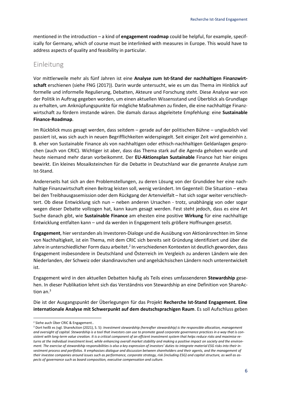mentioned in the introduction – a kind of **engagement roadmap** could be helpful, for example, specifically for Germany, which of course must be interlinked with measures in Europe. This would have to address aspects of quality and feasibility in particular.

### <span id="page-5-0"></span>Einleitung

Vor mittlerweile mehr als fünf Jahren ist eine **Analyse zum Ist-Stand der nachhaltigen Finanzwirtschaft** erschienen (siehe FNG (2017)). Darin wurde untersucht, wie es um das Thema im Hinblick auf formelle und informelle Regulierung, Debatten, Akteure und Forschung steht. Diese Analyse war von der Politik in Auftrag gegeben worden, um einen aktuellen Wissensstand und Überblick als Grundlage zu erhalten, um Anknüpfungspunkte für mögliche Maßnahmen zu finden, die eine nachhaltige Finanzwirtschaft zu fördern imstande wären. Die damals daraus abgeleitete Empfehlung: eine **Sustainable Finance-Roadmap**.

Im Rückblick muss gesagt werden, dass seitdem – gerade auf der politischen Bühne – unglaublich viel passiert ist, was sich auch in neuen Begrifflichkeiten widerspiegelt. Seit einiger Zeit wird gemeinhin z. B. eher von Sustainable Finance als von nachhaltigen oder ethisch-nachhaltigen Geldanlagen gesprochen (auch von CRIC). Wichtiger ist aber, dass das Thema stark auf die Agenda gehoben wurde und heute niemand mehr daran vorbeikommt. Der **EU-Aktionsplan Sustainable** Finance hat hier einiges bewirkt. Ein kleines Mosaiksteinchen für die Debatte in Deutschland war die genannte Analyse zum Ist-Stand.

Andererseits hat sich an den Problemstellungen, zu deren Lösung von der Grundidee her eine nachhaltige Finanzwirtschaft einen Beitrag leisten soll, wenig verändert. Im Gegenteil: Die Situation – etwa bei den Treibhausgasemission oder dem Rückgang der Artenvielfalt – hat sich sogar weiter verschlechtert. Ob diese Entwicklung sich nun – neben anderen Ursachen - trotz, unabhängig von oder sogar wegen dieser Debatte vollzogen hat, kann kaum gesagt werden. Fest steht jedoch, dass es eine Art Suche danach gibt, wie **Sustainable Finance** am ehesten eine positive **Wirkung** für eine nachhaltige Entwicklung entfalten kann – und da werden in Engagement teils größere Hoffnungen gesetzt.

**Engagement**, hier verstanden als Investoren-Dialoge und die Ausübung von Aktionärsrechten im Sinne von Nachhaltigkeit, ist ein Thema, mit dem CRIC sich bereits seit Gründung identifiziert und über die Jahre in unterschiedlicher Form dazu arbeitet.<sup>2</sup> In verschiedenen Kontexten ist deutlich geworden, dass Engagement insbesondere in Deutschland und Österreich im Vergleich zu anderen Ländern wie den Niederlanden, der Schweiz oder skandinavischen und angelsächsischen Ländern noch unterentwickelt ist.

Engagement wird in den aktuellen Debatten häufig als Teils eines umfassenderen **Stewardship** gesehen. In dieser Publikation lehnt sich das Verständnis von Stewardship an eine Definition von ShareAction an.<sup>3</sup>

Die ist der Ausgangspunkt der Überlegungen für das Projekt **Recherche Ist-Stand Engagement. Eine internationale Analyse mit Schwerpunkt auf dem deutschsprachigen Raum**. Es soll Aufschluss geben

<sup>2</sup> Siehe auch Über CRIC & Engagement..

<sup>3</sup> Dort heißt es (vgl. ShareAction (2021), S. 5): *Investment stewardship (hereafter stewardship) is the responsible allocation, management and oversight of capital. Stewardship is a tool that investors can use to promote good corporate governance practices in a way that is consistent with long-term value creation. It is a critical component of an effcient investment system that helps reduce risks and maximise returns at the individual investment level, while enhancing overall market stability and making a positive impact on society and the environment. The exercise of stewardship responsibilities is also a key expression of investors' duties to integrate material ESG risks into their investment process and portfolios. It emphasises dialogue and discussion between shareholders and their agents, and the management of their investee companies around issues such as performance, corporate strategy, risk (including ESG) and capital structure, as well as aspects of governance such as board composition, executive compensation and culture.*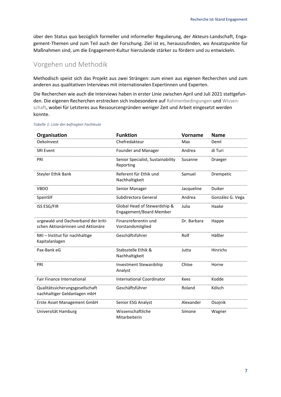über den Status quo bezüglich formeller und informeller Regulierung, der Akteurs-Landschaft, Engagement-Themen und zum Teil auch der Forschung. Ziel ist es, herauszufinden, wo Ansatzpunkte für Maßnahmen sind, um die Engagement-Kultur hierzulande stärker zu fördern und zu entwickeln.

## <span id="page-6-0"></span>Vorgehen und Methodik

Methodisch speist sich das Projekt aus zwei Strängen: zum einen aus eigenen Recherchen und zum anderen aus qualitativen Interviews mit internationalen Expertinnen und Experten.

Die Recherchen wie auch die Interviews haben in erster Linie zwischen April und Juli 2021 stattgefunden. Die eigenen Recherchen erstrecken sich insbesondere auf [Rahmenbedingungen](#page-7-0) und [Wissen](#page-23-0)[schaft,](#page-23-0) wobei für Letzteres aus Ressourcengründen weniger Zeit und Arbeit eingesetzt werden konnte.

| Organisation                                                             | <b>Funktion</b>                                         | <b>Vorname</b> | <b>Name</b>      |
|--------------------------------------------------------------------------|---------------------------------------------------------|----------------|------------------|
| OekoInvest                                                               | Chefredakteur                                           | Max            | Deml             |
| <b>SRI Event</b>                                                         | Founder and Manager                                     | Andrea         | di Turi          |
| PRI                                                                      | Senior Specialist, Sustainability<br>Reporting          | Susanne        | <b>Draeger</b>   |
| Steyler Ethik Bank                                                       | Referent für Ethik und<br>Nachhaltigkeit                | Samuel         | Drempetic        |
| <b>VBDO</b>                                                              | Senior Manager                                          | Jacqueline     | Duiker           |
| SpainSIF                                                                 | Subdirectora General                                    | Andrea         | González G. Vega |
| ISS ESG/FIR                                                              | Global Head of Stewardship &<br>Engagement/Board Member | Julia          | Haake            |
| urgewald und Dachverband der kriti-<br>schen Aktionärinnen und Aktionäre | Finanzreferentin und<br>Vorstandsmitglied               | Dr. Barbara    | Happe            |
| NKI – Institut für nachhaltige<br>Kapitalanlagen                         | Geschäftsführer                                         | Rolf           | Häßler           |
| Pax-Bank eG                                                              | Stabsstelle Ethik &<br>Nachhaltigkeit                   | Jutta          | <b>Hinrichs</b>  |
| PRI                                                                      | Investment Stewardship<br>Analyst                       | Chloe          | Horne            |
| Fair Finance International                                               | <b>International Coordinator</b>                        | Kees           | Kodde            |
| Qualitätssicherungsgesellschaft<br>nachhaltiger Geldanlagen mbH          | Geschäftsführer                                         | Roland         | Kölsch           |
| Erste Asset Management GmbH                                              | Senior ESG Analyst                                      | Alexander      | Osojnik          |
| Universität Hamburg                                                      | Wissenschaftliche<br>Mitarbeiterin                      | Simone         | Wagner           |

#### <span id="page-6-1"></span>*Tabelle 1: Liste der befragten Fachleute*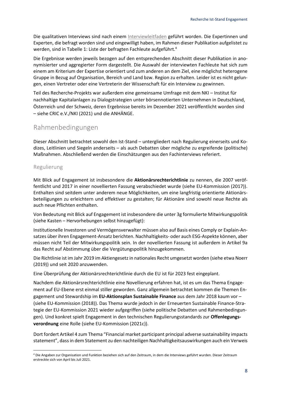Die qualitativen Interviews sind nach einem [Interviewleitfaden](https://cric-online.org/images/individual_upload/cric/Interview_Leitfaden.pdf) geführt worden. Die Expertinnen und Experten, die befragt worden sind und eingewilligt haben, im Rahmen dieser Publikation aufgelistet zu werden, sind in [Tabelle 1: Liste der befragten Fachleute](#page-6-1) aufgeführt.<sup>4</sup>

Die Ergebnisse werden jeweils bezogen auf den entsprechenden Abschnitt dieser Publikation in anonymisierter und aggregierter Form dargestellt. Die Auswahl der interviewten Fachleute hat sich zum einem am Kriterium der Expertise orientiert und zum anderen an dem Ziel, eine möglichst heterogene Gruppe in Bezug auf Organisation, Bereich und Land bzw. Region zu erhalten. Leider ist es nicht gelungen, einen Vertreter oder eine Vertreterin der Wissenschaft für ein Interview zu gewinnen.

Teil des Recherche-Projekts war außerdem eine gemeinsame Umfrage mit dem NKI – Institut für nachhaltige Kapitalanlagen zu Dialogstrategien unter börsennotierten Unternehmen in Deutschland, Österreich und der Schweiz, deren Ergebnisse bereits im Dezember 2021 veröffentlicht worden sind – siehe CRIC e.V./NKI (2021) und die ANHÄNGE.

## <span id="page-7-0"></span>Rahmenbedingungen

Dieser Abschnitt betrachtet sowohl den Ist-Stand – untergliedert nach Regulierung einerseits und Kodizes, Leitlinien und Siegeln anderseits – als auch Debatten über mögliche zu ergreifende (politische) Maßnahmen. Abschließend werden die Einschätzungen aus den Fachinterviews referiert.

#### <span id="page-7-1"></span>Regulierung

Mit Blick auf Engagement ist insbesondere die **Aktionärsrechterichtlinie** zu nennen, die 2007 veröffentlicht und 2017 in einer novellierten Fassung verabschiedet wurde (siehe EU-Kommission (2017)). Enthalten sind seitdem unter anderem neue Möglichkeiten, um eine langfristig orientierte Aktionärsbeteiligungen zu erleichtern und effektiver zu gestalten; für Aktionäre sind sowohl neue Rechte als auch neue Pflichten enthalten.

Von Bedeutung mit Blick auf Engagement ist insbesondere die unter 3g formulierte Mitwirkungspolitik (siehe Kasten – Hervorhebungen selbst hinzugefügt):

Institutionelle Investoren und Vermögensverwalter müssen also auf Basis eines Comply or Explain-Ansatzes über ihren Engagement-Ansatz berichten. Nachhaltigkeits- oder auch ESG-Aspekte können, aber müssen nicht Teil der Mitwirkungspolitik sein. In der novellierten Fassung ist außerdem in Artikel 9a das Recht auf Abstimmung über die Vergütungspolitik hinzugekommen.

Die Richtlinie ist im Jahr 2019 im Aktiengesetz in nationales Recht umgesetzt worden (siehe etwa Noerr (2019)) und seit 2020 anzuwenden.

Eine Überprüfung der Aktionärsrechterichtlinie durch die EU ist für 2023 fest eingeplant.

Nachdem die Aktionärsrechterichtlinie eine Novellierung erfahren hat, ist es um das Thema Engagement auf EU-Ebene erst einmal stiller geworden. Ganz allgemein betrachtet kommen die Themen Engagement und Stewardship im **EU-Aktionsplan Sustainable Finance** aus dem Jahr 2018 kaum vor – (siehe EU-Kommission (2018)). Das Thema wurde jedoch in der Erneuerten Sustainable Finance-Strategie der EU-Kommission 2021 wieder aufgegriffen (siehe politische Debatten und Rahmenbedingungen). Und konkret spielt Engagement in den technischen Regulierungsstandards zur **Offenlegungsverordnung** eine Rolle (siehe EU-Kommission (2021c)).

Dort fordert Artikel 4 zum Thema "Financial market participant principal adverse sustainability impacts statement", dassin dem Statement zu den nachteiligen Nachhaltigkeitsauswirkungen auch ein Verweis

<sup>4</sup> Die Angaben zur Organisation und Funktion beziehen sich auf den Zeitraum, in dem die Interviews geführt wurden. Dieser Zeitraum erstreckte sich von April bis Juli 2021.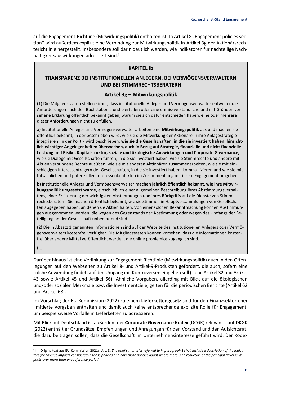auf die Engagement-Richtline (Mitwirkungspolitik) enthalten ist. In Artikel 8 "Engagement policies section" wird außerdem explizit eine Verbindung zur Mitwirkungspolitik in Artikel 3g der Aktionärsrechterichtlinie hergestellt. Insbesondere soll darin deutlich werden, wie Indikatoren für nachteilige Nachhaltigkeitsauswirkungen adressiert sind. 5

#### **KAPITEL Ib**

#### **TRANSPARENZ BEI INSTITUTIONELLEN ANLEGERN, BEI VERMÖGENSVERWALTERN UND BEI STIMMRECHTSBERATERN**

#### **Artikel 3g – Mitwirkungspolitik**

(1) Die Mitgliedstaaten stellen sicher, dass institutionelle Anleger und Vermögensverwalter entweder die Anforderungen nach den Buchstaben a und b erfüllen oder eine unmissverständliche und mit Gründen versehene Erklärung öffentlich bekannt geben, warum sie sich dafür entschieden haben, eine oder mehrere dieser Anforderungen nicht zu erfüllen.

a) Institutionelle Anleger und Vermögensverwalter arbeiten eine **Mitwirkungspolitik** aus und machen sie öffentlich bekannt, in der beschrieben wird, wie sie die Mitwirkung der Aktionäre in ihre Anlagestrategie integrieren. In der Politik wird beschrieben, **wie sie die Gesellschaften, in die sie investiert haben, hinsichtlich wichtiger Angelegenheiten überwachen, auch in Bezug auf Strategie, finanzielle und nicht finanzielle Leistung und Risiko, Kapitalstruktur, soziale und ökologische Auswirkungen und Corporate Governance,** wie sie Dialoge mit Gesellschaften führen, in die sie investiert haben, wie sie Stimmrechte und andere mit Aktien verbundene Rechte ausüben, wie sie mit anderen Aktionären zusammenarbeiten, wie sie mit einschlägigen Interessenträgern der Gesellschaften, in die sie investiert haben, kommunizieren und wie sie mit tatsächlichen und potenziellen Interessenkonflikten im Zusammenhang mit ihrem Engagement umgehen.

b) Institutionelle Anleger und Vermögensverwalter **machen jährlich öffentlich bekannt, wie ihre Mitwirkungspolitik umgesetzt wurde**, einschließlich einer allgemeinen Beschreibung ihres Abstimmungsverhaltens, einer Erläuterung der wichtigsten Abstimmungen und ihres Rückgriffs auf die Dienste von Stimmrechtsberatern. Sie machen öffentlich bekannt, wie sie Stimmen in Hauptversammlungen von Gesellschaften abgegeben haben, an denen sie Aktien halten. Von einer solchen Bekanntmachung können Abstimmungen ausgenommen werden, die wegen des Gegenstands der Abstimmung oder wegen des Umfangs der Beteiligung an der Gesellschaft unbedeutend sind.

(2) Die in Absatz 1 genannten Informationen sind auf der Website des institutionellen Anlegers oder Vermögensverwalters kostenfrei verfügbar. Die Mitgliedstaaten können vorsehen, dass die Informationen kostenfrei über andere Mittel veröffentlicht werden, die online problemlos zugänglich sind.

(…)

Darüber hinaus ist eine Verlinkung zur Engagement-Richtlinie (Mitwirkungspolitik) auch in den Offenlegungen auf den Webseiten zu Artikel 8- und Artikel-9-Produkten gefordert, die auch, sofern eine solche Anwendung findet, auf den Umgang mit Kontroversen eingehen soll (siehe Artikel 32 und Artikel 43 sowie Artikel 45 und Artikel 56). Ähnliche Vorgaben, allerding mit Blick auf die ökologischen und/oder sozialen Merkmale bzw. die Investmentziele, gelten für die periodischen Berichte (Artikel 62 und Artikel 68).

Im Vorschlag der EU-Kommission (2022) zu einem **Lieferkettengesetz** sind für den Finanzsektor eher limitierte Vorgaben enthalten und damit auch keine entsprechende explizite Rolle für Engagement, um beispielsweise Vorfälle in Lieferketten zu adressieren.

Mit Blick auf Deutschland ist außerdem der **Corporate Governance Kodex** (DCGK) relevant. Laut DKGK (2022) enthält er Grundsätze, Empfehlungen und Anregungen für den Vorstand und den Aufsichtsrat, die dazu beitragen sollen, dass die Gesellschaft im Unternehmensinteresse geführt wird. Der Kodex

<sup>5</sup> Im Originaltext aus EU-Kommission 2021c, Art. 8: *The brief summaries referred to in paragraph 1 shall include a description of the indicators for adverse impacts considered in those policies and how those policies adapt where there is no reduction of the principal adverse impacts over more than one reference period.*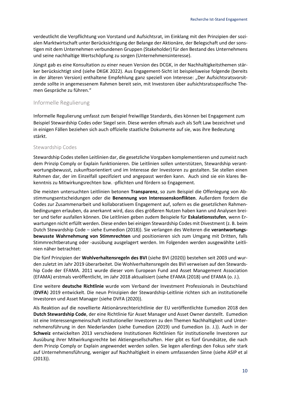verdeutlicht die Verpflichtung von Vorstand und Aufsichtsrat, im Einklang mit den Prinzipien der sozialen Marktwirtschaft unter Berücksichtigung der Belange der Aktionäre, der Belegschaft und der sonstigen mit dem Unternehmen verbundenen Gruppen (Stakeholder) für den Bestand des Unternehmens und seine nachhaltige Wertschöpfung zu sorgen (Unternehmensinteresse).

Jüngst gab es eine Konsultation zu einer neuen Version des DCGK, in der Nachhaltigkeitsthemen stärker berücksichtigt sind (siehe DKGK 2022). Aus Engagement-Sicht ist beispielsweise folgende (bereits in der älteren Version) enthaltene Empfehlung ganz speziell von Interesse: "Der Aufsichtsratsvorsitzende sollte in angemessenem Rahmen bereit sein, mit Investoren über aufsichtsratsspezifische Themen Gespräche zu führen."

#### <span id="page-9-0"></span>Informelle Regulierung

Informelle Regulierung umfasst zum Beispiel freiwillige Standards, dies können bei Engagement zum Beispiel Stewardship Codes oder Siegel sein. Diese werden oftmals auch als Soft Law bezeichnet und in einigen Fällen beziehen sich auch offizielle staatliche Dokumente auf sie, was ihre Bedeutung stärkt.

#### <span id="page-9-1"></span>Stewardship Codes

Stewardship Codes stellen Leitlinien dar, die gesetzliche Vorgaben komplementieren und zumeist nach dem Prinzip Comply or Explain funktionieren. Die Leitlinien sollen unterstützen, Stewardship verantwortungsbewusst, zukunftsorientiert und im Interesse der Investoren zu gestalten. Sie stellen einen Rahmen dar, der im Einzelfall spezifiziert und angepasst werden kann. Auch sind sie ein klares Bekenntnis zu Mitwirkungsrechten bzw. -pflichten und fördern so Engagement.

Die meisten untersuchten Leitlinien betonen **Transparenz**, so zum Beispiel die Offenlegung von Abstimmungsentscheidungen oder die **Benennung von Interessenskonflikten**. Außerdem fordern die Codes zur Zusammenarbeit und kollaborativem Engagement auf, sofern es die gesetzlichen Rahmenbedingungen erlauben, da anerkannt wird, dass dies größeren Nutzen haben kann und Analysen breiter und tiefer ausfallen können. Die Leitlinien geben zudem Beispiele für **Eskalationsstufen**, wenn Erwartungen nicht erfüllt werden. Diese enden bei einigen Stewardship Codes mit Divestment (z. B. beim Dutch Stewardship Code – siehe Eumedion (2018)). Sie verlangen des Weiteren die **verantwortungsbewusste Wahrnehmung von Stimmrechten** und positionieren sich zum Umgang mit Dritten, falls Stimmrechtberatung oder -ausübung ausgelagert werden. Im Folgenden werden ausgewählte Leitlinien näher betrachtet:

Die fünf Prinzipien der **Wohlverhaltensregeln des BVI** (siehe BVI (2020)) bestehen seit 2003 und wurden zuletzt im Jahr 2019 überarbeitet. Die Wohlverhaltensregeln des BVI verweisen auf den Stewardship Code der EFAMA. 2011 wurde dieser vom European Fund and Asset Management Association (EFAMA) erstmals veröffentlicht, im Jahr 2018 aktualisiert (siehe EFAMA (2018) und EFAMA (o. J.).

Eine weitere **deutsche Richtlinie** wurde vom Verband der Investment Professionals in Deutschland (**DVFA**) 2019 entwickelt. Die neun Prinzipien der Stewardship-Leitlinie richten sich an institutionelle Investoren und Asset Manager (siehe DVFA (2020)).

Als Reaktion auf die novellierte Aktionärsrechterichtlinie der EU veröffentlichte Eumedion 2018 den **Dutch Stewardship Code**, der eine Richtlinie für Asset Manager und Asset Owner darstellt. Eumedion ist eine Interessengemeinschaft institutioneller Investoren zu den Themen Nachhaltigkeit und Unternehmensführung in den Niederlanden (siehe Eumedion (2019) und Eumedion (o. J.)). Auch in der **Schweiz** entwickelten 2013 verschiedene Institutionen Richtlinien für institutionelle Investoren zur Ausübung ihrer Mitwirkungsrechte bei Aktiengesellschaften. Hier gibt es fünf Grundsätze, die nach dem Prinzip Comply or Explain angewendet werden sollen. Sie legen allerdings den Fokus sehr stark auf Unternehmensführung, weniger auf Nachhaltigkeit in einem umfassenden Sinne (siehe ASIP et al (2013)).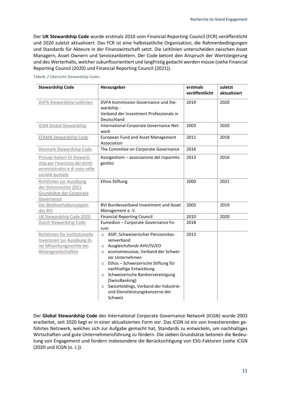Der **UK Stewardship Code** wurde erstmals 2010 vom Financial Reporting Council (FCR) veröffentlicht und 2020 zuletzt aktualisiert. Das FCR ist eine halbstaatliche Organisation, die Rahmenbedingungen und Standards für Akteure in der Finanzwirtschaft setzt. Die Leitlinien unterscheiden zwischen Asset Managern, Asset Ownern und Serviceanbietern. Der Code betont den Anspruch der Wertsteigerung und des Werterhalts, welcher zukunftsorientiert und langfristig gedacht werden müsse (siehe Financial Reporting Council (2020) und Financial Reporting Council (2021)).

| <b>Stewardship Code</b>                                                                                                | Herausgeber                                                                                                                                                                                                                                                                                                                                                                                    | erstmals<br>veröffentlicht | zuletzt<br>aktualisiert |
|------------------------------------------------------------------------------------------------------------------------|------------------------------------------------------------------------------------------------------------------------------------------------------------------------------------------------------------------------------------------------------------------------------------------------------------------------------------------------------------------------------------------------|----------------------------|-------------------------|
| DVFA Stewardship-Leitlinien                                                                                            | DVFA Kommission Governance und Ste-<br>wardship -<br>Verband der Investment Professionals in<br>Deutschland                                                                                                                                                                                                                                                                                    | 2019                       | 2020                    |
| <b>ICGN Global Stewardship</b>                                                                                         | International Corporate Governance Net-<br>work                                                                                                                                                                                                                                                                                                                                                | 2003                       | 2020                    |
| <b>EFAMA Stewardship Code</b>                                                                                          | European Fund and Asset Management<br>Association                                                                                                                                                                                                                                                                                                                                              | 2011                       | 2018                    |
| Denmark Stewardship Code                                                                                               | The Commitee on Corporate Governance                                                                                                                                                                                                                                                                                                                                                           | 2016                       |                         |
| Principi Italiani Di Steward-<br>ship per l'esercizio dei diritti<br>amministrativi e di voto nelle<br>società quotate | Assogestioni - associazione del risparmio<br>gestito                                                                                                                                                                                                                                                                                                                                           | 2013                       | 2016                    |
| Richtlinien zur Ausübung<br>der Stimmrechte 2021<br>Grundsätze der Corporate<br>Governance                             | <b>Ethos Stiftung</b>                                                                                                                                                                                                                                                                                                                                                                          | 2000                       | 2021                    |
| Die Wohlverhaltensregeln<br>des BVI                                                                                    | <b>BVI Bundesverband Investment und Asset</b><br>Management e.V.                                                                                                                                                                                                                                                                                                                               | 2003                       | 2019                    |
| UK Stewardship Code 2020                                                                                               | <b>Financial Reporting Council</b>                                                                                                                                                                                                                                                                                                                                                             | 2010                       | 2020                    |
| Dutch Stewardship Code                                                                                                 | Eumedion - Corporate Governance Fo-<br>rum                                                                                                                                                                                                                                                                                                                                                     | 2018                       |                         |
| Richtlinien für Institutionelle<br>Investoren zur Ausübung ih-<br>rer Mitwirkungsrechte bei<br>Aktiengesellschaften    | ASIP, Schweizerischer Pensionskas-<br>$\circ$<br>senverband<br>O Ausgleichsfonds AHV/IV/EO<br>economiesuisse, Verband der Schwei-<br>$\circ$<br>zer Unternehmen<br>o Ethos - Schweizerische Stiftung für<br>nachhaltige Entwicklung<br>o Schweizerische Bankiervereinigung<br>(SwissBanking)<br>SwissHoldings, Verband der Industrie-<br>$\circ$<br>und Dienstleistungskonzerne der<br>Schweiz | 2013                       |                         |

#### <span id="page-10-0"></span>*Tabelle 2 Übersicht Stewardship Codes*

Der **Global Stewardship Code** des International Corporate Governance Network (ICGN) wurde 2003 erarbeitet, seit 2020 liegt er in einer aktualisierten Form vor. Das ICGN ist ein von Investierenden geführtes Netzwerk, welches sich zur Aufgabe gemacht hat, Standards zu entwickeln, um nachhaltiges Wirtschaften und gute Unternehmensführung zu fördern. Die sieben Grundsätze betonen die Bedeutung von Engagement und fordern insbesondere die Berücksichtigung von ESG-Faktoren (siehe ICGN (2020 und ICGN (o. J.)).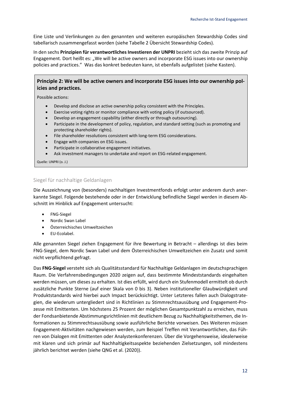Eine Liste und Verlinkungen zu den genannten und weiteren europäischen Stewardship Codes sind tabellarisch zusammengefasst worden (siehe Tabelle 2 [Übersicht Stewardship Codes\)](#page-10-0).

In den sechs **Prinzipien für verantwortliches Investieren der UNPRI** bezieht sich das zweite Prinzip auf Engagement. Dort heißt es: "We will be active owners and incorporate ESG issues into our ownership policies and practices." Was das konkret bedeuten kann, ist ebenfalls aufgelistet (siehe Kasten).

#### **Principle 2: We will be active owners and incorporate ESG issues into our ownership policies and practices.**

Possible actions:

- Develop and disclose an active ownership policy consistent with the Principles.
- Exercise voting rights or monitor compliance with voting policy (if outsourced).
- Develop an engagement capability (either directly or through outsourcing).
- Participate in the development of policy, regulation, and standard setting (such as promoting and protecting shareholder rights).
- File shareholder resolutions consistent with long-term ESG considerations.
- Engage with companies on ESG issues.
- Participate in collaborative engagement initiatives.
- Ask investment managers to undertake and report on ESG-related engagement.

Quelle: UNPRI (o. J.)

#### <span id="page-11-0"></span>Siegel für nachhaltige Geldanlagen

Die Auszeichnung von (besonders) nachhaltigen Investmentfonds erfolgt unter anderem durch anerkannte Siegel. Folgende bestehende oder in der Entwicklung befindliche Siegel werden in diesem Abschnitt im Hinblick auf Engagement untersucht:

- FNG-Siegel
- Nordic Swan Label
- Österreichisches Umweltzeichen
- EU-Ecolabel.

Alle genannten Siegel ziehen Engagement für ihre Bewertung in Betracht – allerdings ist dies beim FNG-Siegel, dem Nordic Swan Label und dem Österreichischen Umweltzeichen ein Zusatz und somit nicht verpflichtend gefragt.

Das **FNG-Siegel** versteht sich als Qualitätsstandard für Nachhaltige Geldanlagen im deutschsprachigen Raum. Die Verfahrensbedingungen 2020 zeigen auf, dass bestimmte Mindeststandards eingehalten werden müssen, um dieses zu erhalten. Ist dies erfüllt, wird durch ein Stufenmodell ermittelt ob durch zusätzliche Punkte Sterne (auf einer Skala von 0 bis 3). Neben institutioneller Glaubwürdigkeit und Produktstandards wird hierbei auch Impact berücksichtigt. Unter Letzteres fallen auch Dialogstrategien, die wiederum untergliedert sind in Richtlinien zu Stimmrechtsausübung und Engagement-Prozesse mit Emittenten. Um höchstens 25 Prozent der möglichen Gesamtpunktzahl zu erreichen, muss der Fondsanbietende Abstimmungsrichtlinien mit deutlichem Bezug zu Nachhaltigkeitsthemen, die Informationen zu Stimmrechtsausübung sowie ausführliche Berichte vorweisen. Des Weiteren müssen Engagement-Aktivitäten nachgewiesen werden, zum Beispiel Treffen mit Verantwortlichen, das Führen von Dialogen mit Emittenten oder Analystenkonferenzen. Über die Vorgehensweise, idealerweise mit klaren und sich primär auf Nachhaltigkeitsaspekte beziehenden Zielsetzungen, soll mindestens jährlich berichtet werden (siehe QNG et al. (2020)).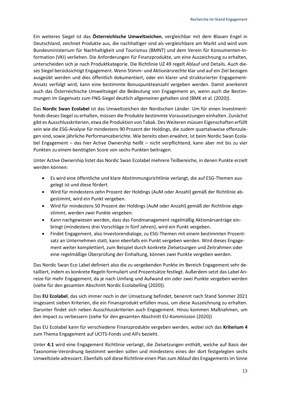Ein weiteres Siegel ist das **Österreichische Umweltzeichen**, vergleichbar mit dem Blauen Engel in Deutschland, zeichnet Produkte aus, die nachhaltiger sind als vergleichbare am Markt und wird vom Bundesministerium für Nachhaltigkeit und Tourismus (BMNT) und dem Verein für Konsumenten-Information (VKI) verliehen. Die Anforderungen für Finanzprodukte, um eine Auszeichnung zu erhalten, unterscheiden sich je nach Produktkategorie. Die Richtlinie UZ 49 regelt Ablauf und Details. Auch dieses Siegel berücksichtigt Engagement. Wenn Stimm- und Aktionärsrechte klar und auf ein Ziel bezogen ausgeübt werden und dies öffentlich dokumentiert, oder ein klarer und strukturierter Engagement-Ansatz verfolgt wird, kann eine bestimmte Bonuspunkteanzahl vergeben werden. Damit anerkennt auch das Österreichische Umweltsiegel die Bedeutung von Engagement an, wenn auch die Bestimmungen im Gegensatz zum FNG-Siegel deutlich allgemeiner gehalten sind (BMK et al. (2020)).

Das **Nordic Swan Ecolabel** ist das Umweltzeichen der Nordischen Länder. Um für einen Investmentfonds dieses Siegel zu erhalten, müssen die Produkte bestimmte Voraussetzungen einhalten. Zunächst gibt es Ausschlusskriterien, etwa die Produktion von Tabak. Des Weiteren müssen Eigenschaften erfüllt sein wie die ESG-Analyse für mindestens 90 Prozent der Holdings, die zudem quartalsweise offenzulegen sind, sowie jährliche Performanceberichte. Wie bereits oben erwähnt, ist beim Nordic Swan Ecolabel Engagement – das hier Active Ownership heißt – nicht verpflichtend, kann aber mit bis zu vier Punkten zu einem benötigten Score von sechs Punkten beitragen.

Unter Active Ownership listet das Nordic Swan Ecolabel mehrere Teilbereiche, in denen Punkte erzielt werden können:

- Es wird eine öffentliche und klare Abstimmungsrichtlinie verlangt, die auf ESG-Themen ausgelegt ist und diese fördert.
- Wird für mindestens zehn Prozent der Holdings (AuM oder Anzahl) gemäß der Richtlinie abgestimmt, wird ein Punkt vergeben.
- Wird für mindestens 50 Prozent der Holdings (AuM oder Anzahl) gemäß der Richtlinie abgestimmt, werden zwei Punkte vergeben.
- Kann nachgewiesen werden, dass das Fondmanagement regelmäßig Aktionärsanträge einbringt (mindestens drei Vorschläge in fünf Jahren), wird ein Punkt vergeben.
- Findet Engagement, also Investorendialoge, zu ESG-Themen mit einem bestimmten Prozentsatz an Unternehmen statt, kann ebenfalls ein Punkt vergeben werden. Wird dieses Engagement weiter komplettiert, zum Beispiel durch konkrete Zielsetzungen und Zeitrahmen oder eine regelmäßige Überprüfung der Einhaltung, können zwei Punkte vergeben werden.

Das Nordic Swan Eco Label definiert also die zu vergebenden Punkte im Bereich Engagement sehr detailliert, indem es konkrete Regeln formuliert und Prozentsätze festlegt. Außerdem setzt das Label Anreize für mehr Engagement, da je nach Umfang und Aufwand ein oder zwei Punkte vergeben werden (siehe für den gesamten Abschnitt Nordic Ecolabelling (2020)).

Das **EU Ecolabel**, das sich immer noch in der Umsetzung befindet, benennt nach Stand Sommer 2021 insgesamt sieben Kriterien, die ein Finanzprodukt erfüllen muss, um diese Auszeichnung zu erhalten. Darunter findet sich neben Ausschlusskriterien auch Engagement. Hinzu kommen Maßnahmen, um den Impact zu verbessern (siehe für den gesamten Abschnitt EU-Kommission (2020))

Das EU Ecolabel kann für verschiedene Finanzprodukte vergeben werden, wobei sich das **Kriterium 4** zum Thema Engagement auf UCITS-Fonds und AIFs bezieht.

Unter **4.1** wird eine Engagement Richtlinie verlangt, die Zielsetzungen enthält, welche auf Basis der Taxonomie-Verordnung bestimmt werden sollen und mindestens eines der dort festgelegten sechs Umweltziele adressiert. Ebenfalls soll diese Richtlinie einen Plan zum Ablauf des Engagements im Sinne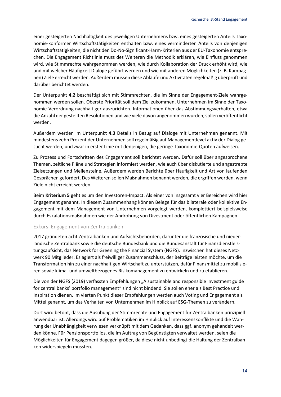einer gesteigerten Nachhaltigkeit des jeweiligen Unternehmens bzw. eines gesteigerten Anteils Taxonomie-konformer Wirtschaftstätigkeiten enthalten bzw. eines verminderten Anteils von denjenigen Wirtschaftstätigkeiten, die nicht den Do-No-Significant-Harm-Kriterien aus der EU-Taxonomie entsprechen. Die Engagement Richtlinie muss des Weiteren die Methodik erklären, wie Einfluss genommen wird, wie Stimmrechte wahrgenommen werden, wie durch Kollaboration der Druck erhöht wird, wie und mit welcher Häufigkeit Dialoge geführt werden und wie mit anderen Möglichkeiten (z. B. Kampagnen) Ziele erreicht werden. Außerdem müssen diese Abläufe und Aktivitäten regelmäßig überprüft und darüber berichtet werden.

Der Unterpunkt **4.2** beschäftigt sich mit Stimmrechten, die im Sinne der Engagement-Ziele wahrgenommen werden sollen. Oberste Priorität soll dem Ziel zukommen, Unternehmen im Sinne der Taxonomie-Verordnung nachhaltiger auszurichten. Informationen über das Abstimmungsverhalten, etwa die Anzahl der gestellten Resolutionen und wie viele davon angenommen wurden, sollen veröffentlicht werden.

Außerdem werden im Unterpunkt **4.3** Details in Bezug auf Dialoge mit Unternehmen genannt. Mit mindestens zehn Prozent der Unternehmen soll regelmäßig auf Managementlevel aktiv der Dialog gesucht werden, und zwar in erster Linie mit denjenigen, die geringe Taxonomie-Quoten aufweisen.

Zu Prozess und Fortschritten des Engagement soll berichtet werden. Dafür soll über angesprochene Themen, zeitliche Pläne und Strategien informiert werden, wie auch über diskutierte und angestrebte Zielsetzungen und Meilensteine. Außerdem werden Berichte über Häufigkeit und Art von laufenden Gesprächen gefordert. Des Weiteren sollen Maßnahmen benannt werden, die ergriffen werden, wenn Ziele nicht erreicht werden.

Beim **Kriterium 5** geht es um den Investoren-Impact. Als einer von insgesamt vier Bereichen wird hier Engagement genannt. In diesem Zusammenhang können Belege für das bilaterale oder kollektive Engagement mit dem Management von Unternehmen vorgelegt werden, komplettiert beispielsweise durch Eskalationsmaßnahmen wie der Androhung von Divestment oder öffentlichen Kampagnen.

#### <span id="page-13-0"></span>Exkurs: Engagement von Zentralbanken

2017 gründeten acht Zentralbanken und Aufsichtsbehörden, darunter die französische und niederländische Zentralbank sowie die deutsche Bundesbank und die Bundesanstalt für Finanzdienstleistungsaufsicht, das Network for Greening the Financial System (NGFS). Inzwischen hat dieses Netzwerk 90 Mitglieder. Es agiert als freiwilliger Zusammenschluss, der Beiträge leisten möchte, um die Transformation hin zu einer nachhaltigen Wirtschaft zu unterstützen, dafür Finanzmittel zu mobilisieren sowie klima- und umweltbezogenes Risikomanagement zu entwickeln und zu etablieren.

Die von der NGFS (2019) verfassten Empfehlungen "A sustainable and responsible investment guide for central banks' portfolio management" sind nicht bindend. Sie sollen eher als Best Practice und Inspiration dienen. Im vierten Punkt dieser Empfehlungen werden auch Voting und Engagement als Mittel genannt, um das Verhalten von Unternehmen im Hinblick auf ESG-Themen zu verändern.

Dort wird betont, dass die Ausübung der Stimmrechte und Engagement für Zentralbanken prinzipiell anwendbar ist. Allerdings wird auf Problematiken im Hinblick auf Interessenskonflikte und die Wahrung der Unabhängigkeit verwiesen verknüpft mit dem Gedanken, dass ggf. anonym gehandelt werden könne. Für Pensionsportfolios, die im Auftrag von Begünstigten verwaltet werden, seien die Möglichkeiten für Engagement dagegen größer, da diese nicht unbedingt die Haltung der Zentralbanken widerspiegeln müssten.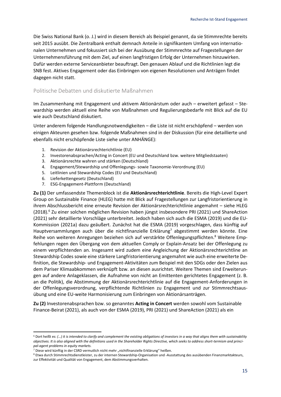Die Swiss National Bank (o. J.) wird in diesem Bereich als Beispiel genannt, da sie Stimmrechte bereits seit 2015 ausübt. Die Zentralbank enthalt demnach Anteile in signifikantem Umfang von internationalen Unternehmen und fokussiert sich bei der Ausübung der Stimmrechte auf Fragestellungen der Unternehmensführung mit dem Ziel, auf einen langfristigen Erfolg der Unternehmen hinzuwirken. Dafür werden externe Serviceanbieter beauftragt. Den genauen Ablauf und die Richtlinien legt die SNB fest. Aktives Engagement oder das Einbringen von eigenen Resolutionen und Anträgen findet dagegen nicht statt.

#### <span id="page-14-0"></span>Politische Debatten und diskutierte Maßnahmen

Im Zusammenhang mit Engagement und aktivem Aktionärstum oder auch – erweitert gefasst – Stewardship werden aktuell eine Reihe von Maßnahmen und Regulierungsbedarfe mit Blick auf die EU wie auch Deutschland diskutiert.

Unter anderem folgende Handlungsnotwendigkeiten – die Liste ist nicht erschöpfend – werden von einigen Akteuren gesehen bzw. folgende Maßnahmen sind in der Diskussion (für eine detaillierte und ebenfalls nicht erschöpfende Liste siehe unter ANHÄNGE):

- 1. Revision der Aktionärsrechterichtlinie (EU)
- 2. Investorenabsprachen/Acting in Concert (EU und Deutschland bzw. weitere Mitgliedstaaten)
- 3. Aktionärsrechte wahren und stärken (Deutschland)
- 4. Engagement/Stewardship und Offenlegungs- sowie Taxonomie-Verordnung (EU)
- 5. Leitlinien und Stewardship Codes (EU und Deutschland)
- 6. Lieferkettengesetz (Deutschland)
- 7. ESG-Engagement-Plattform (Deutschland)

**Zu (1)** Der umfassendste Themenblock ist die **Aktionärsrechterichtlinie**. Bereits die High-Level Expert Group on Sustainable Finance (HLEG) hatte mit Blick auf Fragestellungen zur Langfristorientierung in ihrem Abschlussbericht eine erneute Revision der Aktionärsrechterichtlinie angemahnt – siehe HLEG (2018).<sup>6</sup> Zu einer solchen möglichen Revision haben jüngst insbesondere PRI (2021) und ShareAction (2021) sehr detaillierte Vorschläge unterbreitet. Jedoch haben sich auch die ESMA (2019) und die EU-Kommission (2021a) dazu geäußert. Zunächst hat die ESMA (2019) vorgeschlagen, dass künftig auf Hauptversammlungen auch über die nichtfinanzielle Erklärung<sup>7</sup> abgestimmt werden könnte. Eine Reihe von weiteren Anregungen beziehen sich auf verstärkte Offenlegungspflichten.<sup>8</sup> Weitere Empfehlungen regen den Übergang von dem aktuellen Comply or Explain-Ansatz bei der Offenlegung zu einem verpflichtenden an. Insgesamt wird zudem eine Angleichung der Aktionärsrechterichtline an Stewardship Codes sowie eine stärkere Langfristorientierung angemahnt wie auch eine erweiterte Definition, die Stewardship- und Engagement-Aktivitäten zum Beispiel mit den SDGs oder den Zielen aus dem Pariser Klimaabkommen verknüpft bzw. an diesen ausrichtet. Weitere Themen sind Erweiterungen auf andere Anlageklassen, die Aufnahme von nicht an Emittenten gerichtetes Engagement (z. B. an die Politik), die Abstimmung der Aktionärsrechterichtlinie auf die Engagement-Anforderungen in der Offenlegungsverordnung, verpflichtende Richtlinien zu Engagement und zur Stimmrechtsausübung und eine EU-weite Harmonisierung zum Einbringen von Aktionärsanträgen.

**Zu (2)** Investorenabsprachen bzw. so genanntes **Acting in Concert** werden sowohl vom Sustainable Finance-Beirat (2021), als auch von der ESMA (2019), PRI (2021) und ShareAction (2021) als ein

<sup>6</sup> Dort heißt es: *(…) it is intended to clarify and complement the existing obligations of investors in a way that aligns them with sustainability objectives. It is also aligned with the definitions used in the Shareholder Rights Directive, which seeks to address short-termism and principal-agent problems in equity markets.*

<sup>&</sup>lt;sup>7</sup> Diese wird künftig in der CSRD vermutlich nicht mehr "nichtfinanzielle Erklärung" heißen.

<sup>&</sup>lt;sup>8</sup> Etwa durch Stimmrechtsdienstleister, zu der internen Stewardship-Organisation und -Ausstattung des ausübenden Finanzmarktakteurs, zur Effektivität und Qualität von Engagement, dem Abstimmungsverhalten.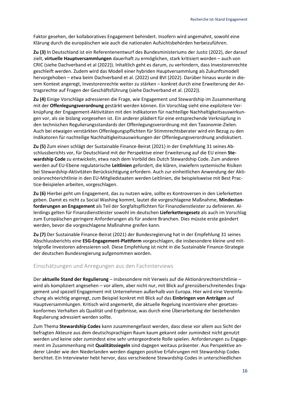Faktor gesehen, der kollaboratives Engagement behindert. Insofern wird angemahnt, sowohl eine Klärung durch die europäischen wie auch die nationalen Aufsichtsbehörden herbeizuführen.

**Zu (3)** In Deutschland ist ein Referentenentwurf des Bundesministeriums der Justiz (2022), der darauf zielt, **virtuelle Hauptversammlungen** dauerhaft zu ermöglichen, stark kritisiert worden – auch von CRIC (siehe Dachverband et al (2022)). Inhaltlich geht es darum, zu verhindern, dass Investorenrechte geschleift werden. Zudem wird das Modell einer hybriden Hauptversammlung als Zukunftsmodell hervorgehoben – etwa beim Dachverband et al. (2022) und BVI (2022). Darüber hinaus wurde in diesem Kontext angeregt, Investorenrechte weiter zu stärken – konkret durch eine Erweiterung der Antragsrechte auf Fragen der Geschäftsführung (siehe Dachverband et al. (2022)).

**Zu (4)** Einige Vorschläge adressieren die Frage, wie Engagement und Stewardship im Zusammenhang mit der **Offenlegungsverordnung** gestärkt werden können. Ein Vorschlag sieht eine explizitere Verknüpfung der Engagement-Aktivitäten mit den Indikatoren für nachteilige Nachhaltigkeitsauswirkungen vor, als sie bislang vorgesehen ist. Ein anderer plädiert für eine entsprechende Verknüpfung in den technischen Regulierungsstandards der Offenlegungsverordnung mit den Taxonomie-Zielen. Auch bei etwaigen verstärkten Offenlegungspflichten für Stimmrechtsberater wird ein Bezug zu den Indikatoren für nachteilige Nachhaltigkeitsauswirkungen der Offenlegungsverordnung andiskutiert.

**Zu (5)** Zum einen schlägt der Sustainable Finance-Beirat (2021) in der Empfehlung 31 seines Abschlussberichts vor, für Deutschland mit der Perspektive einer Erweiterung auf die EU einen **Stewardship Code** zu entwickeln, etwa nach dem Vorbild des Dutch Stewardship Code. Zum anderen werden auf EU-Ebene regulatorische **Leitlinien** gefordert, die klären, inwiefern systemische Risiken bei Stewardship-Aktivitäten Berücksichtigung erfordern. Auch zur einheitlichen Anwendung der Aktionärsrechterichtlinie in den EU-Mitgliedstaaten werden Leitlinien, die beispielsweise mit Best Practice-Beispielen arbeiten, vorgeschlagen.

**Zu (6)** Hierbei geht um Engagement, das zu nutzen wäre, sollte es Kontroversen in den Lieferketten geben. Damit es nicht zu Social Washing kommt, lautet die vorgeschlagene Maßnahme, **Mindestanforderungen an Engagement** als Teil der Sorgfaltspflichten für Finanzdienstleister zu definieren. Allerdings gelten für Finanzdienstleister sowohl im deutschen **Lieferkettengesetz** als auch im Vorschlag zum Europäischen geringere Anforderungen als für andere Branchen. Dies müsste erste geändert werden, bevor die vorgeschlagene Maßnahme greifen kann.

**Zu (7)** Der Sustainable Finance-Beirat (2021) der Bundesregierung hat in der Empfehlung 31 seines Abschlussberichts eine **ESG-Engagement-Plattform** vorgeschlagen, die insbesondere kleine und mittelgroße Investoren adressieren soll. Diese Empfehlung ist nicht in die Sustainable Finance-Strategie der deutschen Bundesregierung aufgenommen worden.

#### <span id="page-15-0"></span>Einschätzungen und Anregungen aus den Fachinterviews

Der **aktuelle Stand der Regulierung** – insbesondere mit Verweis auf die Aktionärsrechterichtlinie – wird als kompliziert angesehen – vor allem, aber nicht nur, mit Blick auf grenzüberschreitendes Engagement und speziell Engagement mit Unternehmen außerhalb von Europa. Hier wird eine Vereinfachung als wichtig angeregt, zum Beispiel konkret mit Blick auf das **Einbringen von Anträgen** auf Hauptversammlungen. Kritisch wird angemerkt, die aktuelle Regelung incentiviere eher gesetzeskonformes Verhalten als Qualität und Ergebnisse, was durch eine Überarbeitung der bestehenden Regulierung adressiert werden sollte.

Zum Thema **Stewardship Codes** kann zusammengefasst werden, dass diese vor allem aus Sicht der befragten Akteure aus dem deutschsprachigen Raum kaum gekannt oder zumindest nicht genutzt werden und keine oder zumindest eine sehr untergeordnete Rolle spielen. Anforderungen zu Engagement im Zusammenhang mit **Qualitätssiegeln** sind dagegen weitaus präsenter. Aus Perspektive anderer Länder wie den Niederlanden werden dagegen positive Erfahrungen mit Stewardship Codes berichtet. Ein Interviewter hebt hervor, dass verschiedene Stewardship Codes in unterschiedlichen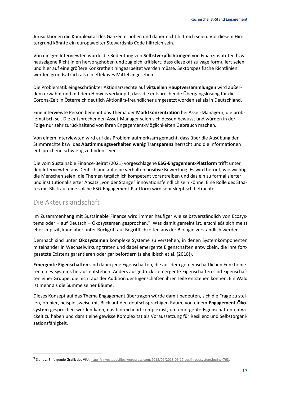Jurisdiktionen die Komplexität des Ganzen erhöhen und daher nicht hilfreich seien. Vor diesem Hintergrund könnte ein europaweiter Stewardship Code hilfreich sein.

Von einigen Interviewten wurde die Bedeutung von **Selbstverpflichtungen** von Finanzinstituten bzw. hauseigene Richtlinien hervorgehoben und zugleich kritisiert, dass diese oft zu vage formuliert seien und hier auf eine größere Konkretheit hingearbeitet werden müsse. Sektorspezifische Richtlinien werden grundsätzlich als ein effektives Mittel angesehen.

Die Problematik eingeschränkter Aktionärsrechte auf **virtuellen Hauptversammlungen** wird außerdem erwähnt und mit dem Hinweis verknüpft, dass die entsprechende Übergangslösung für die Corona-Zeit in Österreich deutlich Aktionärs-freundlicher umgesetzt worden sei als in Deutschland.

Eine interviewte Person benennt das Thema der **Marktkonzentration** bei Asset-Managern, die problematisch sei. Die entsprechenden Asset-Manager seien sich dessen bewusst und würden in der Folge nur sehr zurückhaltend von ihren Engagement-Möglichkeiten Gebrauch machen.

Von einem Interviewten wird auf das Problem aufmerksam gemacht, dass über die Ausübung der Stimmrechte bzw. das **Abstimmungsverhalten wenig Transparenz** herrscht und die Informationen entsprechend schwierig zu finden seien.

Die vom Sustainable Finance-Beirat (2021) vorgeschlagene **ESG-Engagement-Plattform** trifft unter den Interviewten aus Deutschland auf eine verhalten positive Bewertung. Es wird betont, wie wichtig die Menschen seien, die Themen tatsächlich kompetent vorantreiben und das ein zu formalisierter und institutionalisierter Ansatz "von der Stange" innovationsfeindlich sein könne. Eine Rolle des Staates mit Blick auf eine solche ESG-Engagement-Plattform wird sehr skeptisch betrachtet.

## <span id="page-16-0"></span>Die Akteurslandschaft

Im Zusammenhang mit Sustainable Finance wird immer häufiger wie selbstverständlich von Ecosystems oder – auf Deutsch – Ökosystemen gesprochen.<sup>9</sup> Was damit gemeint ist, erschließt sich meist eher implizit, kann aber unter Rückgriff auf Begrifflichkeiten aus der Biologie verständlich werden.

Demnach sind unter **Ökosystemen** komplexe Systeme zu verstehen, in denen Systemkomponenten miteinander in Wechselwirkung treten und dabei emergente Eigenschaften entwickeln, die ihre fortgesetzte Existenz garantieren oder gar befördern (siehe Ibisch et al. (2018)).

**Emergente Eigenschaften** sind dabei jene Eigenschaften, die aus dem gemeinschaftlichen Funktionieren eines Systems heraus entstehen. Anders ausgedrückt: emergente Eigenschaften sind Eigenschaften einer Gruppe, die nicht aus der Addition der Eigenschaften ihrer Teile entstehen können. Ein Wald ist mehr als die Summe seiner Bäume.

Dieses Konzept auf das Thema Engagement übertragen würde damit bedeuten, sich die Frage zu stellen, ob hier, beispielsweise mit Blick auf den deutschsprachigen Raum, von einem **Engagement-Ökosystem** gesprochen werden kann, das hinreichend komplex ist, um emergente Eigenschaften entwickelt zu haben und damit eine gewisse Komplexität als Voraussetzung für Resilienz und Selbstorganisationsfähigkeit.

<sup>9</sup> Siehe z. B. folgende Grafik des VfU[: https://investabel.files.wordpress.com/2018/09/2018-09-17-susfin-ecosystem.jpg?w=768.](https://investabel.files.wordpress.com/2018/09/2018-09-17-susfin-ecosystem.jpg?w=768)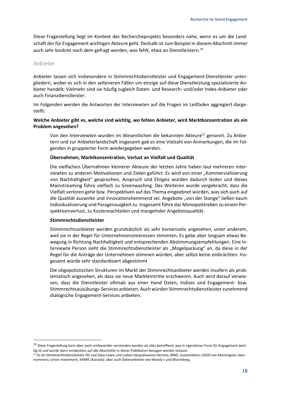Diese Fragestellung liegt im Kontext des Rechercheprojekts besonders nahe, wenn es um die Landschaft der für Engagement wichtigen Akteure geht. Deshalb ist zum Beispiel in diesem Abschnitt immer auch sehr konkret nach dem gefragt worden, was fehlt, etwa an Dienstleistern. 10

#### <span id="page-17-0"></span>Anbieter

Anbieter lassen sich insbesondere in Stimmrechtsdienstleister und Engagement-Dienstleister untergliedern, wobei es sich in den selteneren Fällen um einzige auf diese Dienstleistung spezialisierte Anbieter handelt. Vielmehr sind sie häufig zugleich Daten- und Research- und/oder Index-Anbieter oder auch Finanzdienstleister.

Im Folgenden werden die Antworten der Interviewten auf die Fragen im Leitfaden aggregiert dargestellt:

#### **Welche Anbieter gibt es, welche sind wichtig, wo fehlen Anbieter, wird Marktkonzentration als ein Problem angesehen?**

Von den Interviewten wurden im Wesentlichen die bekannten Akteure<sup>11</sup> genannt. Zu Anbietern und zur Anbieterlandschaft insgesamt gab es eine Vielzahl von Anmerkungen, die im Folgenden in gruppierter Form wiedergegeben werden.

#### **Übernahmen, Marktkonzentration, Verlust an Vielfalt und Qualität**

Die vielfachen Übernahmen kleinerer Akteure der letzten Jahre haben laut mehreren Interviewten zu anderen Motivationen und Zielen geführt. Es wird von einer "Kommerzialisierung von Nachhaltigkeit" gesprochen, Anspruch und Ehrgeiz würden dadurch leiden und dieses Mainstreaming führe vielfach zu Greenwashing. Des Weiteren wurde vorgebracht, dass die Vielfalt verloren gehe bzw. Perspektiven auf das Thema eingeebnet würden, was sich auch auf die Qualität auswirke und innovationshemmend sei. Angebote "von der Stange" ließen kaum Individualisierung und Passgenauigkeit zu. Insgesamt führe das Monopolstreben zu einem Perspektivenverlust, zu Kostennachteilen und mangelnder Angebotsqualität.

#### **Stimmrechtsdienstleister**

Stimmrechtsanbieter werden grundsätzlich als sehr konservativ angesehen, unter anderem, weil sie in der Regel für Unternehmensinteressen stimmten. Es gebe aber langsam etwas Bewegung in Richtung Nachhaltigkeit und entsprechenden Abstimmungsempfehlungen. Eine interviewte Person sieht die Stimmrechtsdienstleister als "Mogelpackung" an, da diese in der Regel für die Anträge der Unternehmen stimmen würden, aber selbst keine einbrächten. Insgesamt würde sehr standardisiert abgestimmt

Die oligopolistischen Strukturen im Markt der Stimmrechtsanbieter werden insofern als problematisch angesehen, als dass sie neue Markteintritte erschweren. Auch wird darauf verwiesen, dass die Dienstleister oftmals aus einer Hand Daten, Indizes und Engagement- bzw. Stimmrechtsausübungs-Services anbieten. Auch würden Stimmrechtsdienstleister zunehmend dialogische Engagement-Services anbieten.

<sup>&</sup>lt;sup>10</sup> Diese Fragestellung kann aber auch umfassender verstanden werden als alles betreffend, was in irgendeiner Form für Engagement wichtig ist und würde dann mindestens auf alle Abschnitte in dieser Publikation bezogen werden müssen.

<sup>11</sup> So als Stimmrechtsdienstleister ISS und Glass Lewis und zudem beispielsweise Hermes, BMO, Sustainalytics (2020 von Morningstar übernommen), Union Investment, SHARE (Kanada); aber auch Datenanbieter wie Moody`s und Bloomberg.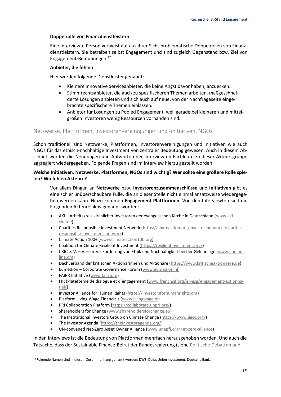#### **Doppelrolle von Finanzdienstleistern**

Eine interviewte Person verweist auf aus ihrer Sicht problematische Doppelrollen von Finanzdienstleistern. Sie betreiben selbst Engagement und sind zugleich Gegenstand bzw. Ziel von Engagement-Bemühungen.<sup>12</sup>

#### **Anbieter, die fehlen**

Hier wurden folgende Dienstleister genannt:

- Kleinere innovative Serviceanbieter, die keine Angst davor haben, anzuecken.
- Stimmrechtsanbieter, die auch zu spezifischeren Themen arbeiten, maßgeschneiderte Lösungen anbieten und sich auch auf neue, von der Nachfrageseite eingebrachte spezifischere Themen einlassen.
- Anbieter für Lösungen zu Pooled Engagement, weil gerade bei kleineren und mittelgroßen Investoren wenig Ressourcen vorhanden sind.

#### <span id="page-18-0"></span>Netzwerke, Plattformen, Investorenvereinigungen und -initiativen, NGOs

Schon traditionell sind Netzwerke, Plattformen, Investorenvereinigungen und Initiativen wie auch NGOs für das ethisch-nachhaltige Investment von zentraler Bedeutung gewesen. Auch in diesem Abschnitt werden die Nennungen und Antworten der interviewten Fachleute zu dieser Akteursgruppe aggregiert wiedergegeben. Folgende Fragen sind im Interview hierzu gestellt worden:

#### **Welche Initiativen, Netzwerke, Plattformen, NGOs sind wichtig? Wer sollte eine größere Rolle spielen? Wo fehlen Akteure?**

Vor allem Dingen an **Netzwerke** bzw. **Investorenzusammenschlüsse** und **Initiativen** gibt es eine schier unüberschaubare Fülle, die an dieser Stelle nicht einmal ansatzweise wiedergegeben werden kann. Hinzu kommen **Engagement-Plattformen**. Von den Interviewten sind die Folgenden Akteure aktiv genannt worden:

- AKI Arbeitskreis kirchlicher Investoren der evangelischen Kirche in Deutschland [\(www.aki](http://www.aki-ekd.de/)[ekd.de\)](http://www.aki-ekd.de/)
- Charities Responsible Investment Network [\(https://shareaction.org/investor-networks/charities](https://shareaction.org/investor-networks/charities-responsible-investment-network)[responsible-investment-network\)](https://shareaction.org/investor-networks/charities-responsible-investment-network)
- Climate Action 100+ [\(www.climateaction100.org\)](http://www.climateaction100.org/)
- Coalition for Climate Resilient Investment [\(https://resilientinvestment.org/\)](https://resilientinvestment.org/)
- CRIC e. V. Verein zur Förderung von Ethik und Nachhaltigkeit bei der Geldanlage [\(www.cric-on](http://www.cric-online.org/)[line.org\)](http://www.cric-online.org/)
- Dachverband der kritischen Aktionärinnen und Aktionäre [\(https://www.kritischeaktionaere.de\)](https://www.kritischeaktionaere.de/)
- Eumedion Corporate Governance Forum [\(www.eumedion.nl\)](http://www.eumedion.nl/)
- FAIRR Initiative [\(www.fairr.org\)](http://www.fairr.org/)
- FIR (Plateforme de dialogue et d'engagement ([www.frenchsif.org/isr-esg/engagement-actionna](http://www.frenchsif.org/isr-esg/engagement-actionnarial/)[rial/\)](http://www.frenchsif.org/isr-esg/engagement-actionnarial/)
- Investor Alliance for Human Rights [\(https://investorsforhumanrights.org\)](https://investorsforhumanrights.org/)
- Platform Living Wage Financials [\(www.livingwage.nl\)](http://www.livingwage.nl/)
- PRI Collaboration Platform [\(https://collaborate.unpri.org/\)](https://collaborate.unpri.org/)
- Shareholders for Change [\(www.shareholdersforchange.eu\)](http://www.shareholdersforchange.eu/)
- The Institutional Investors Group on Climate Change [\(https://www.iigcc.org/\)](https://www.iigcc.org/)
- The Investor Agenda [\(https://theinvestoragenda.org/\)](https://theinvestoragenda.org/)
- UN-convened Net-Zero Asset Owner Alliance [\(www.unepfi.org/net-zero-alliance\)](http://www.unepfi.org/net-zero-alliance/)

In den Interviews ist die Bedeutung von Plattformen mehrfach herausgehoben worden. Und auch die Tatsache, dass der Sustainable Finance-Beirat der Bundesregierung (siehe [Politische Debatten](#page-14-0) und

<sup>&</sup>lt;sup>12</sup> Folgende Namen sind in diesem Zusammenhang genannt worden: DWS, Deka, Union Investment, Deutsche Bank.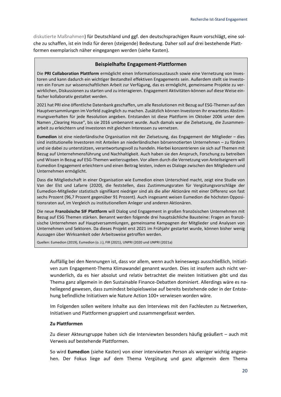[diskutierte Maßnahmen\)](#page-14-0) für Deutschland und ggf. den deutschsprachigen Raum vorschlägt, eine solche zu schaffen, ist ein Indiz für deren (steigende) Bedeutung. Daher soll auf drei bestehende Plattformen exemplarisch näher eingegangen werden (siehe Kasten).

#### **Beispielhafte Engagement-Plattformen**

Die **PRI Collaboration Plattform** ermöglicht einen Informationsaustausch sowie eine Vernetzung von Investoren und kann dadurch ein wichtiger Bestandteil effektiven Engagements sein. Außerdem stellt sie Investoren ein Forum zur wissenschaftlichen Arbeit zur Verfügung, das es ermöglicht, gemeinsame Projekte zu verwirklichen, Diskussionen zu starten und zu interagieren. Engagement Aktivitäten-können auf diese Weise einfacher kollaborativ gestaltet werden.

2021 hat PRI eine öffentliche Datenbank geschaffen, um alle Resolutionen mit Bezug auf ESG-Themen auf den Hauptversammlungen im Vorfeld zugänglich zu machen. Zusätzlich können Investoren ihr erwartetes Abstimmungsverhalten für jede Resolution angeben. Entstanden ist diese Plattform im Oktober 2006 unter dem Namen "Clearing House", bis sie 2016 umbenannt wurde. Auch damals war die Zielsetzung, die Zusammenarbeit zu erleichtern und Investoren mit gleichen Interessen zu vernetzen.

**Eumedion** ist eine niederländische Organisation mit der Zielsetzung, das Engagement der Mitglieder – dies sind institutionelle Investoren mit Anteilen an niederländischen börsennotierten Unternehmen – zu fördern und sie dabei zu unterstützen, verantwortungsvoll zu handeln. Hierbei konzentrieren sie sich auf Themen mit Bezug auf Unternehmensführung und Nachhaltigkeit. Auch haben sie den Anspruch, Forschung zu betreiben und Wissen in Bezug auf ESG-Themen weiterzugeben. Vor allem durch die Vernetzung von Anteilseignern will Eumedion Engagement erleichtern und einen Beitrag leisten, indem es Dialoge zwischen den Mitgliedern und Unternehmen ermöglicht.

Dass die Mitgliedschaft in einer Organisation wie Eumedion einen Unterschied macht, zeigt eine Studie von Van der Elst und Lafarre (2020), die feststellen, dass Zustimmungsraten für Vergütungsvorschläge der Eumedion-Mitglieder statistisch signifikant niedriger sind als die aller Aktionäre mit einer Differenz von fast sechs Prozent (96,7 Prozent gegenüber 91 Prozent). Auch insgesamt weisen Eumedion die höchsten Oppositionsraten auf, im Vergleich zu institutionellem Anleger und anderen Aktionären.

Die neue **Französische SIF Plattform** will Dialog und Engagement in großen französischen Unternehmen mit Bezug auf ESG Themen stärken. Benannt werden folgende drei hauptsächliche Bausteine: Fragen an französische Unternehmen auf Hauptversammlungen, gemeinsame Kampagnen der Mitglieder und Analysen von Unternehmen und Sektoren. Da dieses Projekt erst 2021 im Frühjahr gestartet wurde, können bisher wenig Aussagen über Wirksamkeit oder Arbeitsweise getroffen werden.

Quellen: Eumedion (2019), Eumedion (o. J.), FIR (2021), UNPRI (2020 und UNPRI (2021a)

Auffällig bei den Nennungen ist, dass vor allem, wenn auch keineswegs ausschließlich, Initiativen zum Engagement-Thema Klimawandel genannt wurden. Dies ist insofern auch nicht verwunderlich, da es hier absolut und relativ betrachtet die meisten Initiativen gibt und das Thema ganz allgemein in den Sustainable Finance-Debatten dominiert. Allerdings wäre es naheliegend gewesen, dass zumindest beispielsweise auf bereits bestehende oder in der Entstehung befindliche Initiativen wie Nature Action 100+ verwiesen worden wäre.

Im Folgenden sollen weitere Inhalte aus den Interviews mit den Fachleuten zu Netzwerken, Initiativen und Plattformen gruppiert und zusammengefasst werden.

#### **Zu Plattformen**

Zu dieser Akteursgruppe haben sich die Interviewten besonders häufig geäußert – auch mit Verweis auf bestehende Plattformen.

So wird **Eumedion** (siehe Kasten) von einer interviewten Person als weniger wichtig angesehen. Der Fokus liege auf dem Thema Vergütung und ganz allgemein dem Thema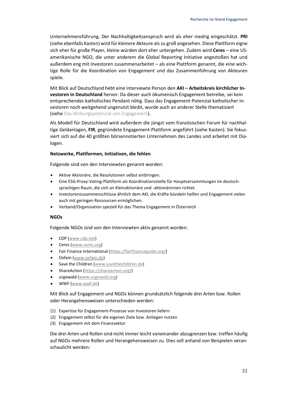Unternehmensführung. Der Nachhaltigkeitsanspruch wird als eher niedrig eingeschätzt. **PRI**  (siehe ebenfalls Kasten) wird für kleinere Akteure als zu groß angesehen. Diese Plattform eigne sich eher für große Player, kleine würden dort eher untergehen. Zudem wird **Ceres** – eine USamerikanische NGO, die unter anderem die Global Reporting Initiative angestoßen hat und außerdem eng mit Investoren zusammenarbeitet – als eine Plattform genannt, die eine wichtige Rolle für die Koordination von Engagement und das Zusammenführung von Akteuren spiele.

Mit Blick auf Deutschland hebt eine interviewte Person den **AKI – Arbeitskreis kirchlicher Investoren in Deutschland** hervor. Da dieser auch ökumenisch Engagement betreibe, sei kein entsprechendes katholisches Pendant nötig. Dass das Engagement-Potenzial katholischer Investoren noch weitgehend ungenutzt bleibt, wurde auch an anderer Stelle thematisiert (siehe [Das Wirkungspotenzial von Engagement](#page-26-0)).

Als Modell für Deutschland wird außerdem die jüngst vom französischen Forum für nachhaltige Geldanlagen, **FIR**, gegründete Engagement-Plattform angeführt (siehe Kasten). Sie fokussiert sich auf die 40 größten börsennotierten Unternehmen des Landes und arbeitet mit Dialogen.

#### **Netzwerke, Plattformen, Initiativen, die fehlen**

Folgende sind von den Interviewten genannt worden:

- Aktive Aktionäre, die Resolutionen selbst einbringen.
- Eine ESG-Proxy-Voting-Plattform als Koordinationsstelle für Hauptversammlungen im deutschsprachigen Raum, die sich an Kleinaktionäre und -aktionärinnen richtet.
- Investorenzusammenschlüsse ähnlich dem AKI, die Kräfte bündeln helfen und Engagement vielen auch mit geringen Ressourcen ermöglichen.
- Verband/Organisation speziell für das Thema Engagement in Österreich

#### **NGOs**

Folgende NGOs sind von den Interviewten aktiv genannt worden:

- CDP [\(www.cdp.net\)](http://www.cdp.net/)
- Ceres [\(www.ceres.org\)](http://www.ceres.org/)
- Fair Finance International [\(https://fairfinanceguide.org/\)](https://fairfinanceguide.org/)
- Oxfam [\(www.oxfam.de\)](http://www.oxfam.de/)
- Save the Children [\(www.savethechildren.de\)](http://www.savethechildren.de/)
- ShareAction [\(https://shareaction.org/\)](https://shareaction.org/)
- urgewald [\(www.urgewald.org\)](http://www.urgewald.org/)
- WWF [\(www.wwf.de\)](http://www.wwf.de/)

Mit Blick auf Engagement und NGOs können grundsätzlich folgende drei Arten bzw. Rollen oder Herangehensweisen unterschieden werden:

- (1) Expertise für Engagement-Prozesse von Investoren liefern
- (2) Engagement selbst für die eigenen Ziele bzw. Anliegen nutzen
- (3) Engagement mit dem Finanzsektor

Die drei Arten und Rollen sind nicht immer leicht voneinander abzugrenzen bzw. treffen häufig auf NGOs mehrere Rollen und Herangehensweisen zu. Dies soll anhand von Beispielen veranschaulicht werden: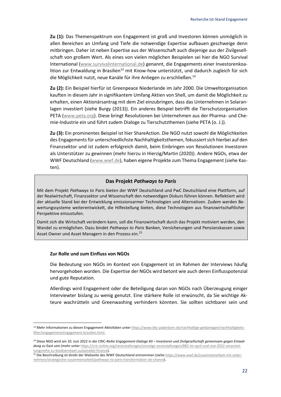**Zu (1):** Das Themenspektrum von Engagement ist groß und Investoren können unmöglich in allen Bereichen an Umfang und Tiefe die notwendige Expertise aufbauen geschweige denn mitbringen. Daher ist neben Expertise aus der Wissenschaft auch diejenige aus der Zivilgesellschaft von großem Wert. Als eines von vielen möglichen Beispielen sei hier die NGO Survival International [\(www.survivalinternational.de\)](http://www.survivalinternational.de/) genannt, die Engagements einer Investorenkoalition zur Entwaldung in Brasilien<sup>13</sup> mit Know-how unterstützt, und dadurch zugleich für sich die Möglichkeit nutzt, neue Kanäle für ihre Anliegen zu erschließen.<sup>14</sup>

**Zu (2):** Ein Beispiel hierfür ist Greenpeace Niederlande im Jahr 2000. Die Umweltorganisation kauften in diesem Jahr in signifikantem Umfang Aktien von Shell, um damit die Möglichkeit zu erhalten, einen Aktionärsantrag mit dem Ziel einzubringen, dass das Unternehmen in Solaranlagen investiert (siehe Burgy (2013)). Ein anderes Beispiel betrifft die Tierschutzorganisation PETA [\(www.peta.org\)](http://www.peta.org/). Diese bringt Resolutionen bei Unternehmen aus der Pharma- und Chemie-Industrie ein und führt zudem Dialoge zu Tierschutzthemen (siehe PETA (o. J.)).

**Zu (3):** Ein prominentes Beispiel ist hier ShareAction. Die NGO nutzt sowohl die Möglichkeiten des Engagementsfür unterschiedlichste Nachhaltigkeitsthemen, fokussiert sich hierbei auf den Finanzsektor und ist zudem erfolgreich damit, beim Einbringen von Resolutionen Investoren als Unterstützer zu gewinnen (mehr hierzu in Hierzig/Martin (2020)). Andere NGOs, etwa der WWF Deutschland [\(www.wwf.de\)](http://www.wwf.de/), haben eigene Projekte zum Thema Engagement (siehe Kasten).

#### **Das Projekt** *Pathways to Paris*

Mit dem Projekt *Pathways to* Paris bieten der WWF Deutschland und PwC Deutschland eine Plattform, auf der Realwirtschaft, Finanzsektor und Wissenschaft den notwendigen Diskurs führen können. Reflektiert wird der aktuelle Stand bei der Entwicklung emissionsarmer Technologien und Alternativen. Zudem werden Bewertungssysteme weiterentwickelt, die Hilfestellung bieten, diese Technologien aus finanzwirtschaftlicher Perspektive einzustufen.

Damit sich die Wirtschaft verändern kann, soll die Finanzwirtschaft durch das Projekt motiviert werden, den Wandel zu ermöglichen. Dazu bindet *Pathways to Paris* Banken, Versicherungen und Pensionskassen sowie Asset Owner und Asset Managern in den Prozess ein.<sup>15</sup>

#### **Zur Rolle und zum Einfluss von NGOs**

Die Bedeutung von NGOs im Kontext von Engagement ist im Rahmen der Interviews häufig hervorgehoben worden. Die Expertise der NGOs wird betont wie auch deren Einflusspotenzial und gute Reputation.

Allerdings wird Engagement oder die Beteiligung daran von NGOs nach Überzeugung einiger Interviewter bislang zu wenig genutzt. Eine stärkere Rolle ist erwünscht, da Sie wichtige Akteure wachrütteln und Greenwashing verhindern könnten. Sie sollten sichtbarer sein und

<sup>13</sup> Mehr Informationen zu diesen Engagement-Aktivitäten unte[r https://www.bkc-paderborn.de/nachhaltige-geldanlagen/nachhaltigkeits](https://www.bkc-paderborn.de/nachhaltige-geldanlagen/nachhaltigkeitsfilter/engagement/engagement-brasilien.html)[filter/engagement/engagement-brasilien.html.](https://www.bkc-paderborn.de/nachhaltige-geldanlagen/nachhaltigkeitsfilter/engagement/engagement-brasilien.html) 

<sup>14</sup> Diese NGO wird am 10. Juni 2022 in der CRIC-*Reihe Engagement-Dialoge #3 – Investoren und Zivilgesellschaft gemeinsam gegen Entwaldung* zu Gast sein (mehr unte[r https://cric-online.org/veranstaltungen/sonstige-veranstaltungen/882-im-april-und-mai-2022-veranstal](https://cric-online.org/veranstaltungen/sonstige-veranstaltungen/882-im-april-und-mai-2022-veranstaltungsreihe-zu-biodiversitaet-sustainable-finance)[tungsreihe-zu-biodiversitaet-sustainable-finance\).](https://cric-online.org/veranstaltungen/sonstige-veranstaltungen/882-im-april-und-mai-2022-veranstaltungsreihe-zu-biodiversitaet-sustainable-finance)

<sup>15</sup> Die Beschreibung ist direkt der Webseite des WWF Deutschland entnommen (sieh[e https://www.wwf.de/zusammenarbeit-mit-unter](https://www.wwf.de/zusammenarbeit-mit-unternehmen/strategische-zusammenarbeit/pathways-to-paris-transformation-als-chance)[nehmen/strategische-zusammenarbeit/pathways-to-paris-transformation-als-chance\)](https://www.wwf.de/zusammenarbeit-mit-unternehmen/strategische-zusammenarbeit/pathways-to-paris-transformation-als-chance).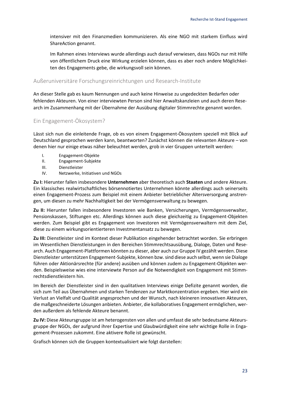intensiver mit den Finanzmedien kommunizieren. Als eine NGO mit starkem Einfluss wird ShareAction genannt.

Im Rahmen eines Interviews wurde allerdings auch darauf verwiesen, dass NGOs nur mit Hilfe von öffentlichem Druck eine Wirkung erzielen können, dass es aber noch andere Möglichkeiten des Engagements gebe, die wirkungsvoll sein können.

#### <span id="page-22-0"></span>Außeruniversitäre Forschungsreinrichtungen und Research-Institute

An dieser Stelle gab es kaum Nennungen und auch keine Hinweise zu ungedeckten Bedarfen oder fehlenden Akteuren. Von einer interviewten Person sind hier Anwaltskanzleien und auch deren Research im Zusammenhang mit der Übernahme der Ausübung digitaler Stimmrechte genannt worden.

#### <span id="page-22-1"></span>Ein Engagement-Ökosystem?

Lässt sich nun die einleitende Frage, ob es von einem Engagement-Ökosystem speziell mit Blick auf Deutschland gesprochen werden kann, beantworten? Zunächst können die relevanten Akteure – von denen hier nur einige etwas näher beleuchtet werden, grob in vier Gruppen unterteilt werden:

- I. Engagement-Objekte
- II. Engagement-Subjekte
- III. Dienstleister
- IV. Netzwerke, Initiativen und NGOs

**Zu I:** Hierunter fallen insbesondere **Unternehmen** aber theoretisch auch **Staaten** und andere Akteure. Ein klassisches realwirtschaftliches börsennotiertes Unternehmen könnte allerdings auch seinerseits einen Engagement-Prozess zum Beispiel mit einem Anbieter betrieblicher Altersversorgung anstrengen, um diesen zu mehr Nachhaltigkeit bei der Vermögensverwaltung zu bewegen.

**Zu II:** Hierunter fallen insbesondere Investoren wie Banken, Versicherungen, Vermögensverwalter, Pensionskassen, Stiftungen etc. Allerdings können auch diese gleichzeitig zu Engagement-Objekten werden. Zum Beispiel gibt es Engagement von Investoren mit Vermögensverwaltern mit dem Ziel, diese zu einem wirkungsorientierteren Investmentansatz zu bewegen.

**Zu III:** Dienstleister sind im Kontext dieser Publikation eingehender betrachtet worden. Sie erbringen im Wesentlichen Dienstleistungen in den Bereichen Stimmrechtsausübung, Dialoge, Daten und Research. Auch Engagement-Plattformen könnten zu dieser, aber auch zur Gruppe IV gezählt werden. Diese Dienstleister unterstützen Engagement-Subjekte, können bzw. sind diese auch selbst, wenn sie Dialoge führen oder Aktionärsrechte (für andere) ausüben und können zudem zu Engagement-Objekten werden. Beispielsweise wies eine interviewte Person auf die Notwendigkeit von Engagement mit Stimmrechtsdienstleistern hin.

Im Bereich der Dienstleister sind in den qualitativen Interviews einige Defizite genannt worden, die sich zum Teil aus Übernahmen und starken Tendenzen zur Marktkonzentration ergeben. Hier wird ein Verlust an Vielfalt und Qualität angesprochen und der Wunsch, nach kleineren innovativen Akteuren, die maßgeschneiderte Lösungen anbieten. Anbieter, die kollaboratives Engagement ermöglichen, werden außerdem als fehlende Akteure benannt.

**Zu IV:** Diese Akteursgruppe ist am heterogensten von allen und umfasst die sehr bedeutsame Akteursgruppe der NGOs, der aufgrund ihrer Expertise und Glaubwürdigkeit eine sehr wichtige Rolle in Engagement-Prozessen zukommt. Eine aktivere Rolle ist gewünscht.

Grafisch können sich die Gruppen kontextualisiert wie folgt darstellen: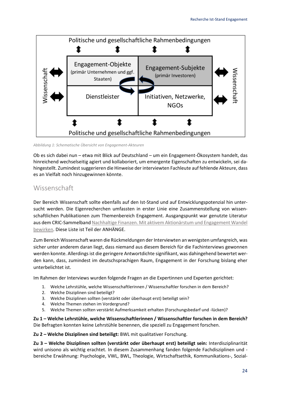

<span id="page-23-1"></span>*Abbildung 1: Schematische Übersicht von Engagement-Akteuren*

Ob es sich dabei nun – etwa mit Blick auf Deutschland – um ein Engagement-Ökosystem handelt, das hinreichend wechselseitig agiert und kollaboriert, um emergente Eigenschaften zu entwickeln, sei dahingestellt. Zumindest suggerieren die Hinweise der interviewten Fachleute auf fehlende Akteure, dass es an Vielfalt noch hinzugewinnen könnte.

## <span id="page-23-0"></span>Wissenschaft

Der Bereich Wissenschaft sollte ebenfalls auf den Ist-Stand und auf Entwicklungspotenzial hin untersucht werden. Die Eigenrecherchen umfassten in erster Linie eine Zusammenstellung von wissenschaftlichen Publikationen zum Themenbereich Engagement. Ausgangspunkt war genutzte Literatur aus dem CRIC-Sammelban[d Nachhaltige Finanzen. Mit aktivem Aktionärstum und Engagement Wandel](https://link.springer.com/book/10.1007/978-3-658-31214-5)  [bewirken.](https://link.springer.com/book/10.1007/978-3-658-31214-5) Diese Liste ist Teil der ANHÄNGE.

Zum Bereich Wissenschaft waren die Rückmeldungen der Interviewten an wenigsten umfangreich, was sicher unter anderem daran liegt, dass niemand aus diesem Bereich für die Fachinterviews gewonnen werden konnte. Allerdings ist die geringere Antwortdichte signifikant, was dahingehend bewertet werden kann, dass, zumindest im deutschsprachigen Raum, Engagement in der Forschung bislang eher unterbelichtet ist.

Im Rahmen der Interviews wurden folgende Fragen an die Expertinnen und Experten gerichtet:

- 1. Welche Lehrstühle, welche Wissenschaftlerinnen / Wissenschaftler forschen in dem Bereich?
- 2. Welche Disziplinen sind beteiligt?
- 3. Welche Disziplinen sollten (verstärkt oder überhaupt erst) beteiligt sein?
- 4. Welche Themen stehen im Vordergrund?
- 5. Welche Themen sollten verstärkt Aufmerksamkeit erhalten (Forschungsbedarf und -lücken)?

**Zu 1 – Welche Lehrstühle, welche Wissenschaftlerinnen / Wissenschaftler forschen in dem Bereich?**  Die Befragten konnten keine Lehrstühle benennen, die speziell zu Engagement forschen.

**Zu 2 – Welche Disziplinen sind beteiligt:** BWL mit qualitativer Forschung.

**Zu 3 – Welche Disziplinen sollten (verstärkt oder überhaupt erst) beteiligt sein:** Interdisziplinarität wird unisono als wichtig erachtet. In diesem Zusammenhang fanden folgende Fachdisziplinen und bereiche Erwähnung: Psychologie, VWL, BWL, Theologie, Wirtschaftsethik, Kommunikations-, Sozial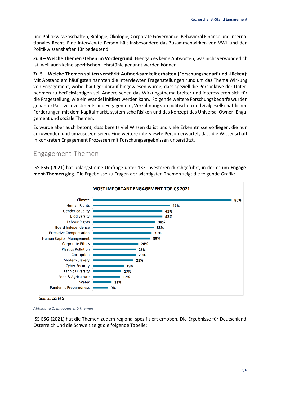und Politikwissenschaften, Biologie, Ökologie, Corporate Governance, Behavioral Finance und internationales Recht. Eine interviewte Person hält insbesondere das Zusammenwirken von VWL und den Politikwissenshaften für bedeutend.

**Zu 4 – Welche Themen stehen im Vordergrund:** Hier gab es keine Antworten, was nicht verwunderlich ist, weil auch keine spezifischen Lehrstühle genannt werden können.

**Zu 5 – Welche Themen sollten verstärkt Aufmerksamkeit erhalten (Forschungsbedarf und -lücken):** Mit Abstand am häufigsten nannten die Interviewten Fragenstellungen rund um das Thema Wirkung von Engagement, wobei häufiger darauf hingewiesen wurde, dass speziell die Perspektive der Unternehmen zu berücksichtigen sei. Andere sehen das Wirkungsthema breiter und interessieren sich für die Fragestellung, wie ein Wandel initiiert werden kann. Folgende weitere Forschungsbedarfe wurden genannt: Passive Investments und Engagement, Verzahnung von politischen und zivilgesellschaftlichen Forderungen mit dem Kapitalmarkt, systemische Risiken und das Konzept des Universal Owner, Engagement und soziale Themen.

Es wurde aber auch betont, dass bereits viel Wissen da ist und viele Erkenntnisse vorliegen, die nun anzuwenden und umzusetzen seien. Eine weitere interviewte Person erwartet, dass die Wissenschaft in konkreten Engagement Prozessen mit Forschungsergebnissen unterstützt.

## <span id="page-24-0"></span>Engagement-Themen

ISS-ESG (2021) hat unlängst eine Umfrage unter 133 Investoren durchgeführt, in der es um **Engagement-Themen** ging. Die Ergebnisse zu Fragen der wichtigsten Themen zeigt die folgende Grafik:



Source: ISS ESG

<span id="page-24-1"></span>*Abbildung 2: Engagement-Themen*

ISS-ESG (2021) hat die Themen zudem regional spezifiziert erhoben. Die Ergebnisse für Deutschland, Österreich und die Schweiz zeigt die folgende Tabelle: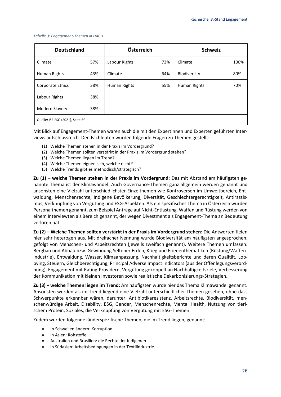<span id="page-25-0"></span>

|  | Tabelle 3: Engagement-Themen in DACH |
|--|--------------------------------------|
|--|--------------------------------------|

| <b>Deutschland</b>                |     | Österreich    |     | <b>Schweiz</b> |      |
|-----------------------------------|-----|---------------|-----|----------------|------|
| Climate                           | 57% | Labour Rights | 73% | Climate        | 100% |
| Human Rights                      | 43% | Climate       | 64% | Biodiversity   | 80%  |
| Corporate Ethics                  | 38% | Human Rights  | 55% | Human Rights   | 70%  |
| Labour Rights                     | 38% |               |     |                |      |
| Modern Slavery                    | 38% |               |     |                |      |
| Quelle: ISS-ESG (2021), Seite 5f. |     |               |     |                |      |

Mit Blick auf Engagement-Themen waren auch die mit den Expertinnen und Experten geführten Interviews aufschlussreich. Den Fachleuten wurden folgende Fragen zu Themen gestellt:

- (1) Welche Themen stehen in der Praxis im Vordergrund?
- (2) Welche Themen sollten verstärkt in der Praxis im Vordergrund stehen?
- (3) Welche Themen liegen im Trend?
- (4) Welche Themen eignen sich, welche nicht?
- (5) Welche Trends gibt es methodisch/strategisch?

**Zu (1) – welche Themen stehen in der Praxis im Vordergrund:** Das mit Abstand am häufigsten genannte Thema ist der Klimawandel. Auch Governance-Themen ganz allgemein werden genannt und ansonsten eine Vielzahl unterschiedlichster Einzelthemen wie Kontroversen im Umweltbereich, Entwaldung, Menschenrechte, Indigene Bevölkerung, Diversität, Geschlechtergerechtigkeit, Antirassismus, Verknüpfung von Vergütung und ESG-Aspekten. Als ein spezifisches Thema in Österreich wurden Personalthemen genannt, zum Beispiel Anträge auf Nicht-Entlastung. Waffen und Rüstung werden von einem Interviewten als Bereich genannt, der wegen Divestment als Engagement-Thema an Bedeutung verloren hat.

**Zu (2) – Welche Themen sollten verstärkt in der Praxis im Vordergrund stehen:** Die Antworten fielen hier sehr heterogen aus. Mit dreifacher Nennung wurde Biodiversität am häufigsten angesprochen, gefolgt von Menschen- und Arbeitsrechten (jeweils zweifach genannt). Weitere Themen umfassen: Bergbau und Abbau bzw. Gewinnung Seltener Erden, Krieg und Friedenthematiken (Rüstung/Waffenindustrie), Entwaldung, Wasser, Klimaanpassung, Nachhaltigkeitsberichte und deren Qualität, Lobbying, Steuern, Gleichberechtigung, Principal Adverse Impact Indicators (aus der Offenlegungsverordnung), Engagement mit Rating-Providern, Vergütung gekoppelt an Nachhaltigkeitsziele, Verbesserung der Kommunikation mit kleinen Investoren sowie realistische Dekarbonisierungs-Strategien.

**Zu (3) – welche Themen liegen im Trend:** Am häufigsten wurde hier das Thema Klimawandel genannt. Ansonsten werden als im Trend liegend eine Vielzahl unterschiedlicher Themen gesehen, ohne dass Schwerpunkte erkennbar wären, darunter: Antibiotikaresistenz, Arbeitsrechte, Biodiversität, menschenwürdige Arbeit, Disability, ESG, Gender, Menschenrechte, Mental Health, Nutzung von tierischem Protein, Soziales, die Verknüpfung von Vergütung mit ESG-Themen.

Zudem wurden folgende länderspezifische Themen, die im Trend liegen, genannt:

- In Schwellenländern: Korruption
- in Asien: Rohstoffe
- Australien und Brasilien: die Rechte der Indigenen
- in Südasien: Arbeitsbedingungen in der Textilindustrie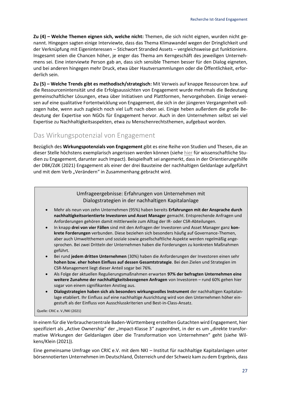**Zu (4) – Welche Themen eignen sich, welche nicht:** Themen, die sich nicht eignen, wurden nicht genannt. Hingegen sagten einige Interviewte, dass das Thema Klimawandel wegen der Dringlichkeit und der Verknüpfung mit Eigeninteressen – Stichwort Stranded Assets – vergleichsweise gut funktioniere. Insgesamt seien die Chancen höher, je enger das Thema am Kerngeschäft des jeweiligen Unternehmens sei. Eine interviewte Person gab an, dass sich sensible Themen besser für den Dialog eigneten, und bei anderen hingegen mehr Druck, etwa über Hautversammlungen oder die Öffentlichkeit, erforderlich sein.

**Zu (5) – Welche Trends gibt es methodisch/strategisch:** Mit Verweis auf knappe Ressourcen bzw. auf die Ressourcenintensität und die Erfolgsaussichten von Engagement wurde mehrmals die Bedeutung gemeinschaftlicher Lösungen, etwa über Initiativen und Plattformen, hervorgehoben. Einige verweisen auf eine qualitative Fortentwicklung von Engagement, die sich in der jüngeren Vergangenheit vollzogen habe, wenn auch zugleich noch viel Luft nach oben sei. Einige heben außerdem die große Bedeutung der Expertise von NGOs für Engagement hervor. Auch in den Unternehmen selbst sei viel Expertise zu Nachhaltigkeitsaspekten, etwa zu Menschenrechtsthemen, aufgebaut worden.

## <span id="page-26-0"></span>Das Wirkungspotenzial von Engagement

Bezüglich des **Wirkungspotenzials von Engagement** gibt es eine Reihe von Studien und Thesen, die an dieser Stelle höchstens exemplarisch angerissen werden können (siehe [hier](https://cric-online.org/images/individual_upload/cric/Exemplarische_wissenschaftliche_Publikationen_Engagement.pdf) für wissenschaftliche Studien zu Engagement, darunter auch Impact). Beispielhaft sei angemerkt, dass in der Orientierungshilfe der DBK/ZdK (2021) Engagement als einer der drei Bausteine der nachhaltigen Geldanlage aufgeführt und mit dem Verb "Verändern" in Zusammenhang gebracht wird.

#### Umfrageergebnisse: Erfahrungen von Unternehmen mit Dialogstrategien in der nachhaltigen Kapitalanlage

- Mehr als neun von zehn Unternehmen (95%) haben bereits **Erfahrungen mit der Ansprache durch nachhaltigkeitsorientierte Investoren und Asset Manager** gemacht. Entsprechende Anfragen und Anforderungen gehören damit mittlerweile zum Alltag der IR- oder CSR-Abteilungen.
- In knapp **drei von vier Fällen** sind mit den Anfragen der Investoren und Asset Manager ganz **konkrete Forderungen** verbunden. Diese beziehen sich besonders häufig auf Governance-Themen, aber auch Umweltthemen und soziale sowie gesellschaftliche Aspekte werden regelmäßig angesprochen. Bei zwei Dritteln der Unternehmen haben die Forderungen zu konkreten Maßnahmen geführt.
- Bei rund **jedem dritten Unternehmen** (30%) haben die Anforderungen der Investoren einen sehr **hohen bzw. eher hohen Einfluss auf dessen Gesamtstrategie**. Bei den Zielen und Strategien im CSR-Management liegt dieser Anteil sogar bei 76%.
- Als Folge der aktuellen Regulierungsmaßnahmen erwarten **97% der befragten Unternehmen eine weitere Zunahme der nachhaltigkeitsbezogenen Anfragen** von Investoren – rund 60% gehen hier sogar von einem signifikanten Anstieg aus.
- **Dialogstrategien haben sich als besonders wirkungsvolles Instrument** der nachhaltigen Kapitalanlage etabliert. Ihr Einfluss auf eine nachhaltige Ausrichtung wird von den Unternehmen höher eingestuft als der Einfluss von Ausschlusskriterien und Best-in-Class-Ansatz.

Quelle: CRIC e. V./NKI (2021)

In einem für die Verbraucherzentrale Baden-Württemberg erstellten Gutachten wird Engagement, hier spezifiziert als "Active Ownership" der "Impact-Klasse 3" zugeordnet, in der es um "direkte transformative Wirkungen der Geldanlagen über die Transformation von Unternehmen" geht (siehe Wilkens/Klein (2021)).

Eine gemeinsame Umfrage von CRIC e.V. mit dem NKI – Institut für nachhaltige Kapitalanlagen unter börsennotierten Unternehmen im Deutschland, Österreich und der Schweiz kam zu dem Ergebnis, dass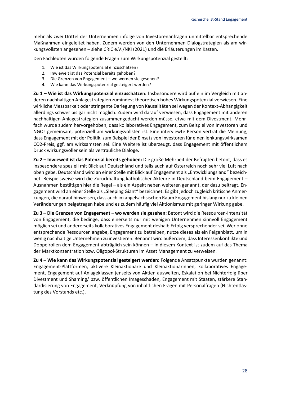mehr als zwei Drittel der Unternehmen infolge von Investorenanfragen unmittelbar entsprechende Maßnahmen eingeleitet haben. Zudem werden von den Unternehmen Dialogstrategien als am wirkungsvollsten angesehen – siehe CRIC e.V./NKI (2021) und die Erläuterungen im Kasten.

Den Fachleuten wurden folgende Fragen zum Wirkungspotenzial gestellt:

- 1. Wie ist das Wirkungspotenzial einzuschätzen?
- 2. Inwieweit ist das Potenzial bereits gehoben?
- 3. Die Grenzen von Engagement wo werden sie gesehen?
- 4. Wie kann das Wirkungspotenzial gesteigert werden?

**Zu 1 – Wie ist das Wirkungspotenzial einzuschätzen:** Insbesondere wird auf ein im Vergleich mit anderen nachhaltigen Anlagestrategien zumindest theoretisch hohes Wirkungspotenzial verwiesen. Eine wirkliche Messbarkeit oder stringente Darlegung von Kausalitäten sei wegen der Kontext-Abhängigkeit allerdings schwer bis gar nicht möglich. Zudem wird darauf verwiesen, dass Engagement mit anderen nachhaltigen Anlagestrategien zusammengedacht werden müsse, etwa mit dem Divestment. Mehrfach wurde zudem hervorgehoben, dass kollaboratives Engagement, zum Beispiel von Investoren und NGOs gemeinsam, potenziell am wirkungsvollsten ist. Eine interviewte Person vertrat die Meinung, dass Engagement mit der Politik, zum Beispiel der Einsatz von Investoren für einen lenkungswirksamen CO2-Preis, ggf. am wirksamsten sei. Eine Weitere ist überzeugt, dass Engagement mit öffentlichem Druck wirkungsvoller sein als vertrauliche Dialoge.

**Zu 2 – Inwieweit ist das Potenzial bereits gehoben:** Die große Mehrheit der Befragten betont, dass es insbesondere speziell mit Blick auf Deutschland und teils auch auf Österreich noch sehr viel Luft nach oben gebe. Deutschland wird an einer Stelle mit Blick auf Engagement als "Entwicklungsland" bezeichnet. Beispielsweise wird die Zurückhaltung katholischer Akteure in Deutschland beim Engagement – Ausnahmen bestätigen hier die Regel – als ein Aspekt neben weiteren genannt, der dazu beitragt. Engagement wird an einer Stelle als "Sleeping Giant" bezeichnet. Es gibt jedoch zugleich kritische Anmerkungen, die darauf hinweisen, dass auch im angelsächsischen Raum Engagement bislang nur zu kleinen Veränderungen beigetragen habe und es zudem häufig viel Aktionismus mit geringer Wirkung gebe.

**Zu 3 – Die Grenzen von Engagement – wo werden sie gesehen:** Betont wird die Ressourcen-Intensität von Engagement, die bedinge, dass einerseits nur mit wenigen Unternehmen sinnvoll Engagement möglich sei und andererseits kollaboratives Engagement deshalb Erfolg versprechender sei. Wer ohne entsprechende Ressourcen angebe, Engagement zu betreiben, nutze dieses als ein Feigenblatt, um in wenig nachhaltige Unternehmen zu investieren. Benannt wird außerdem, dass Interessenkonflikte und Doppelrollen dem Engagement abträglich sein können – in diesem Kontext ist zudem auf das Thema der Marktkonzentration bzw. Oligopol-Strukturen im Asset Management zu verweisen.

<span id="page-27-0"></span>**Zu 4 – Wie kann das Wirkungspotenzial gesteigert werden:** Folgende Ansatzpunkte wurden genannt: Engagement-Plattformen, aktivere Kleinaktionäre und Kleinaktionärinnen, kollaboratives Engagement, Engagement auf Anlageklassen jenseits von Aktien ausweiten, Eskalation bei Nichterfolg über Divestment und Shaming/ bzw. öffentlichen Imageschaden, Engagement mit Staaten, stärkere Standardisierung von Engagement, Verknüpfung von inhaltlichen Fragen mit Personalfragen (Nichtentlastung des Vorstands etc.).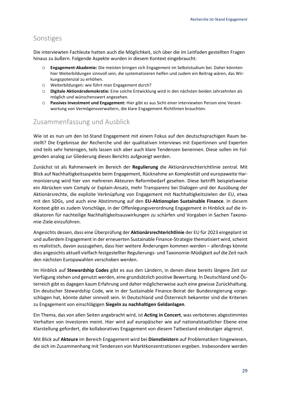## Sonstiges

Die interviewten Fachleute hatten auch die Möglichkeit, sich über die im Leitfaden gestellten Fragen hinaus zu äußern. Folgende Aspekte wurden in diesem Kontext eingebraucht:

- o **Engagement-Akademie:** Die meisten bringen sich Engagement im Selbststudium bei. Daher könnten hier Weiterbildungen sinnvoll sein, die systematisieren helfen und zudem ein Beitrag wären, das Wirkungspotenzial zu erhöhen.
- o Weiterbildungen: wie führt man Engagement durch?
- o **Digitale Aktionärsdemokratie:** Eine solche Entwicklung wird in den nächsten beiden Jahrzehnten als möglich und wünschenswert angesehen.
- o **Passives Investment und Engagement:** Hier gibt es aus Sicht einer interviewten Person eine Verantwortung von Vermögensverwaltern, die klare Engagement-Richtlinien brauchten.

## <span id="page-28-0"></span>Zusammenfassung und Ausblick

Wie ist es nun um den Ist-Stand Engagement mit einem Fokus auf den deutschsprachigen Raum bestellt? Die Ergebnisse der Recherche und der qualitativen Interviews mit Expertinnen und Experten sind teils sehr heterogen, teils lassen sich aber auch klare Tendenzen benennen. Diese sollen im Folgenden analog zur Gliederung dieses Berichts aufgezeigt werden.

Zunächst ist als Rahmenwerk im Bereich der **Regulierung** die Aktionärsrechterichtlinie zentral. Mit Blick auf Nachhaltigkeitsaspekte beim Engagement, Rücknahme an Komplexität und europaweite Harmonisierung wird hier von mehreren Akteuren Reformbedarf gesehen. Diese betrifft beispielsweise ein Abrücken vom Comply or Explain-Ansatz, mehr Transparenz bei Dialogen und der Ausübung der Aktionärsrechte, die explizite Verknüpfung von Engagement mit Nachhaltigkeitszielen der EU, etwa mit den SDGs, und auch eine Abstimmung auf den **EU-Aktionsplan Sustainable Finance**. In diesem Kontext gibt es zudem Vorschläge, in der Offenlegungsverordnung Engagement in Hinblick auf die Indikatoren für nachteilige Nachhaltigkeitsauswirkungen zu schärfen und Vorgaben in Sachen Taxonomie-Ziele einzuführen.

Angesichts dessen, dass eine Überprüfung der **Aktionärsrechterichtlinie** der EU für 2023 eingeplant ist und außerdem Engagement in der erneuerten Sustainable Finance-Strategie thematisiert wird, scheint es realistisch, davon auszugehen, dass hier weitere Änderungen kommen werden – allerdings könnte dies angesichts aktuell vielfach festgestellter Regulierungs- und Taxonomie-Müdigkeit auf die Zeit nach den nächsten Europawahlen verschoben werden.

Im Hinblick auf **Stewardship Codes** gibt es aus den Ländern, in denen diese bereits längere Zeit zur Verfügung stehen und genutzt werden, eine grundsätzlich positive Bewertung. In Deutschland und Österreich gibt es dagegen kaum Erfahrung und daher möglicherweise auch eine gewisse Zurückhaltung. Ein deutscher Stewardship Code, wie in der Sustainable Finance-Beirat der Bundesregierung vorgeschlagen hat, könnte daher sinnvoll sein. In Deutschland und Österreich bekannter sind die Kriterien zu Engagement von einschlägigen **Siegeln zu nachhaltigen Geldanlagen**.

Ein Thema, das von allen Seiten angebracht wird, ist **Acting in Concert**, was verbotenes abgestimmtes Verhalten von Investoren meint. Hier wird auf europäischer wie auf nationalstaatlicher Ebene eine Klarstellung gefordert, die kollaboratives Engagement von diesem Tatbestand eindeutiger abgrenzt.

Mit Blick auf **Akteure** im Bereich Engagement wird bei **Dienstleistern** auf Problematiken hingewiesen, die sich im Zusammenhang mit Tendenzen von Marktkonzentrationen ergeben. Insbesondere werden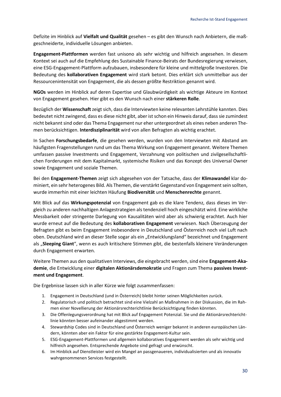Defizite im Hinblick auf **Vielfalt und Qualität** gesehen – es gibt den Wunsch nach Anbietern, die maßgeschneiderte, individuelle Lösungen anbieten.

**Engagement-Plattformen** werden fast unisono als sehr wichtig und hilfreich angesehen. In diesem Kontext sei auch auf die Empfehlung des Sustainable Finance-Beirats der Bundesregierung verwiesen, eine ESG-Engagement-Plattform aufzubauen, insbesondere für kleine und mittelgroße Investoren. Die Bedeutung des **kollaborativen Engagement** wird stark betont. Dies erklärt sich unmittelbar aus der Ressourcenintensität von Engagement, die als dessen größte Restriktion genannt wird.

**NGOs** werden im Hinblick auf deren Expertise und Glaubwürdigkeit als wichtige Akteure im Kontext von Engagement gesehen. Hier gibt es den Wunsch nach einer **stärkeren Rolle**.

Bezüglich der **Wissenschaft**zeigt sich, dass die Interviewten keine relevanten Lehrstühle kannten. Dies bedeutet nicht zwingend, dass es diese nicht gibt, aber ist schon ein Hinweis darauf, dass sie zumindest nicht bekannt sind oder das Thema Engagement nur eher untergeordnet als eines neben anderen Themen berücksichtigen. **Interdisziplinarität** wird von allen Befragten als wichtig erachtet.

In Sachen **Forschungsbedarfe**, die gesehen werden, wurden von den Interviewten mit Abstand am häufigsten Fragenstellungen rund um das Thema Wirkung von Engagement genannt. Weitere Themen umfassen passive Investments und Engagement, Verzahnung von politischen und zivilgesellschaftlichen Forderungen mit dem Kapitalmarkt, systemische Risiken und das Konzept des Universal Owner sowie Engagement und soziale Themen.

Bei den **Engagement-Themen** zeigt sich abgesehen von der Tatsache, dass der **Klimawandel** klar dominiert, ein sehr heterogenes Bild. Als Themen, die verstärkt Gegenstand von Engagement sein sollten, wurde immerhin mit einer leichten Häufung **Biodiversität** und **Menschenrechte** genannt.

Mit Blick auf das **Wirkungspotenzial** von Engagement gab es die klare Tendenz, dass dieses im Vergleich zu anderen nachhaltigen Anlagestrategien als tendenziell hoch eingeschätzt wird. Eine wirkliche Messbarkeit oder stringente Darlegung von Kausalitäten wird aber als schwierig erachtet. Auch hier wurde erneut auf die Bedeutung des **kollaborativen Engagement** verwiesen. Nach Überzeugung der Befragten gibt es beim Engagement insbesondere in Deutschland und Österreich noch viel Luft nach oben. Deutschland wird an dieser Stelle sogar als ein "Entwicklungsland" bezeichnet und Engagement als "**Sleeping Giant**", wenn es auch kritischere Stimmen gibt, die bestenfalls kleinere Veränderungen durch Engagement erwarten.

Weitere Themen aus den qualitativen Interviews, die eingebracht werden, sind eine **Engagement-Akademie**, die Entwicklung einer **digitalen Aktionärsdemokratie** und Fragen zum Thema **passives Investment und Engagement**.

Die Ergebnisse lassen sich in aller Kürze wie folgt zusammenfassen:

- 1. Engagement in Deutschland (und in Österreich) bleibt hinter seinen Möglichkeiten zurück.
- 2. Regulatorisch und politisch betrachtet sind eine Vielzahl an Maßnahmen in der Diskussion, die im Rahmen einer Novellierung der Aktionärsrechterichtlinie Berücksichtigung finden könnten.
- 3. Die Offenlegungsverordnung hat mit Blick auf Engagement Potenzial. Sie und die Aktionärsrechterichtlinie könnten besser aufeinander abgestimmt werden.
- 4. Stewardship Codes sind in Deutschland und Österreich weniger bekannt in anderen europäischen Ländern, könnten aber ein Faktor für eine gestärkte Engagement-Kultur sein.
- 5. ESG-Engagement-Plattformen und allgemein kollaboratives Engagement werden als sehr wichtig und hilfreich angesehen. Entsprechende Angebote sind gefragt und erwünscht.
- 6. Im Hinblick auf Dienstleister wird ein Mangel an passgenaueren, individualisierten und als innovativ wahrgenommenen Services festgestellt.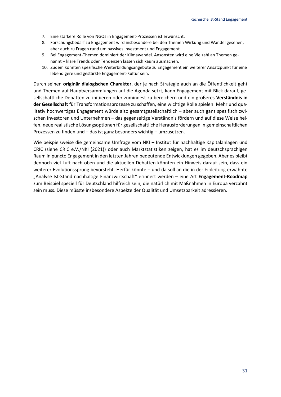- 7. Eine stärkere Rolle von NGOs in Engagement-Prozessen ist erwünscht.
- 8. Forschungsbedarf zu Engagement wird insbesondere bei den Themen Wirkung und Wandel gesehen, aber auch zu Fragen rund um passives Investment und Engagement.
- 9. Bei Engagement-Themen dominiert der Klimawandel. Ansonsten wird eine Vielzahl an Themen genannt – klare Trends oder Tendenzen lassen sich kaum ausmachen.
- 10. Zudem könnten spezifische Weiterbildungsangebote zu Engagement ein weiterer Ansatzpunkt für eine lebendigere und gestärkte Engagement-Kultur sein.

Durch seinen **originär dialogischen Charakter**, der je nach Strategie auch an die Öffentlichkeit geht und Themen auf Hauptversammlungen auf die Agenda setzt, kann Engagement mit Blick darauf, gesellschaftliche Debatten zu initiieren oder zumindest zu bereichern und ein größeres **Verständnis in der Gesellschaft** für Transformationsprozesse zu schaffen, eine wichtige Rolle spielen. Mehr und qualitativ hochwertiges Engagement würde also gesamtgesellschaftlich – aber auch ganz spezifisch zwischen Investoren und Unternehmen – das gegenseitige Verständnis fördern und auf diese Weise helfen, neue realistische Lösungsoptionen für gesellschaftliche Herausforderungen in gemeinschaftlichen Prozessen zu finden und – das ist ganz besonders wichtig – umzusetzen.

Wie beispielsweise die gemeinsame Umfrage vom NKI – Institut für nachhaltige Kapitalanlagen und CRIC (siehe CRIC e.V./NKI (2021)) oder auch Marktstatistiken zeigen, hat es im deutschsprachigen Raum in puncto Engagement in den letzten Jahren bedeutende Entwicklungen gegeben. Aber es bleibt dennoch viel Luft nach oben und die aktuellen Debatten könnten ein Hinweis darauf sein, dass ein weiterer Evolutionssprung bevorsteht. Herfür könnte – und da soll an die in der [Einleitung](#page-5-0) erwähnte "Analyse Ist-Stand nachhaltige Finanzwirtschaft" erinnert werden – eine Art **Engagement-Roadmap** zum Beispiel speziell für Deutschland hilfreich sein, die natürlich mit Maßnahmen in Europa verzahnt sein muss. Diese müsste insbesondere Aspekte der Qualität und Umsetzbarkeit adressieren.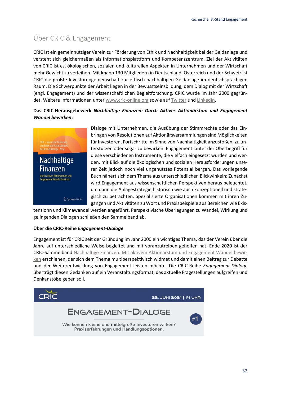# <span id="page-31-0"></span>Über CRIC & Engagement

CRIC ist ein gemeinnütziger Verein zur Förderung von Ethik und Nachhaltigkeit bei der Geldanlage und versteht sich gleichermaßen als Informationsplattform und Kompetenzzentrum. Ziel der Aktivitäten von CRIC ist es, ökologischen, sozialen und kulturellen Aspekten in Unternehmen und der Wirtschaft mehr Gewicht zu verleihen. Mit knapp 130 Mitgliedern in Deutschland, Österreich und der Schweiz ist CRIC die größte Investorengemeinschaft zur ethisch-nachhaltigen Geldanlage im deutschsprachigen Raum. Die Schwerpunkte der Arbeit liegen in der Bewusstseinsbildung, dem Dialog mit der Wirtschaft (engl. Engagement) und der wissenschaftlichen Begleitforschung. CRIC wurde im Jahr 2000 gegründet. Weitere Informationen unter [www.cric-online.org](http://www.cric-online.org/) sowie au[f Twitter](https://twitter.com/CRIC_eV) un[d LinkedIn.](https://www.linkedin.com/company/cric-e-v-verein-zur-foerderung-von-ethik-und-nachhaltigkeit-bei-der-geldanlage/)

#### **Das CRIC-Herausgebewerk** *Nachhaltige Finanzen: Durch Aktives Aktionärstum und Engagement Wandel bewirken***:**



Dialoge mit Unternehmen, die Ausübung der Stimmrechte oder das Einbringen von Resolutionen auf Aktionärsversammlungen sind Möglichkeiten für Investoren, Fortschritte im Sinne von Nachhaltigkeit anzustoßen, zu unterstützen oder sogar zu bewirken. Engagement lautet der Oberbegriff für diese verschiedenen Instrumente, die vielfach eingesetzt wurden und werden, mit Blick auf die ökologischen und sozialen Herausforderungen unserer Zeit jedoch noch viel ungenutztes Potenzial bergen. Das vorliegende Buch nähert sich dem Thema aus unterschiedlichen Blickwinkeln: Zunächst wird Engagement aus wissenschaftlichen Perspektiven heraus beleuchtet, um dann die Anlagestrategie historisch wie auch konzeptionell und strategisch zu betrachten. Spezialisierte Organisationen kommen mit ihren Zugängen und Aktivitäten zu Wort und Praxisbeispiele aus Bereichen wie Exis-

tenzlohn und Klimawandel werden angeführt. Perspektivische Überlegungen zu Wandel, Wirkung und gelingenden Dialogen schließen den Sammelband ab.

#### **Über die CRIC-Reihe** *Engagement-Dialoge*

Engagement ist für CRIC seit der Gründung im Jahr 2000 ein wichtiges Thema, das der Verein über die Jahre auf unterschiedliche Weise begleitet und mit voranzutreiben geholfen hat. Ende 2020 ist der CRIC-Sammelband [Nachhaltige Finanzen. Mit aktivem Aktionärstum und Engagement Wandel bewir](https://link.springer.com/book/10.1007/978-3-658-31214-5)[ken](https://link.springer.com/book/10.1007/978-3-658-31214-5) erschienen, der sich dem Thema multiperspektivisch widmet und damit einen Beitrag zur Debatte und der Weiterentwicklung von Engagement leisten möchte. Die CRIC-Reihe *Engagement-Dialoge* überträgt diesen Gedanken auf ein Veranstaltungsformat, das aktuelle Fragestellungen aufgreifen und Denkanstöße geben soll.

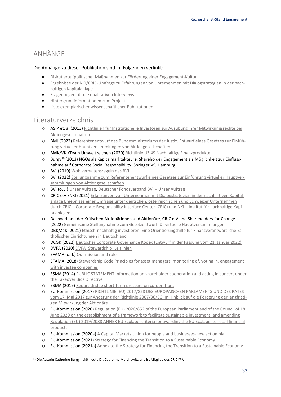# <span id="page-32-0"></span>ANHÄNGE

#### Die Anhänge zu dieser Publikation sind im Folgenden verlinkt:

- [Diskutierte \(politische\) Maßnahmen zur Förderung einer Engagement-Kultur](https://www.cric-online.org/images/individual_upload/cric/Massnahmen_Uebersicht.pdf)
- [Ergebnisse der NKI/CRIC-Umfrage zu Erfahrungen von Unternehmen mit Dialogstrategien in der nach](https://www.cric-online.org/images/CRIC/Ergebnisse_Engagement_Befragung_2021.pdf)[haltigen Kapitalanlage](https://www.cric-online.org/images/CRIC/Ergebnisse_Engagement_Befragung_2021.pdf)
- [Fragenbogen für die qualitativen Interviews](https://cric-online.org/images/individual_upload/cric/Interview_Leitfaden.pdf)
- [Hintergrundinformationen zum Projekt](https://cric-online.org/images/individual_upload/cric/Hintergrundinformationen_Engagement_Recherche_Projekt.pdf)
- [Liste exemplarischer wissenschaftlicher Publikationen](https://cric-online.org/images/individual_upload/cric/Exemplarische_wissenschaftliche_Publikationen_Engagement.pdf)

## <span id="page-32-1"></span>Literaturverzeichnis

- o ASIP et. al (2013) [Richtlinien für Institutionelle Investoren zur Ausübung ihrer Mitwirkungsrechte bei](https://swissinvestorscode.ch/wp-content/uploads/2013/06/Richtlinien_16012013_d.pdf)  [Aktiengesellschaften](https://swissinvestorscode.ch/wp-content/uploads/2013/06/Richtlinien_16012013_d.pdf)
- o BMJ (2022) [Referentenentwurf des Bundesministeriums der Justiz. Entwurf eines Gesetzes zur Einfüh](https://www.bmj.de/SharedDocs/Gesetzgebungsverfahren/Dokumente/RefE_virtuelle_Hauptversammlung.pdf;jsessionid=516C08DB1522AE888406B60721EF1D35.2_cid297?__blob=publicationFile&v=3)[rung virtueller Hauptversammlungen von Aktiengesellschaften](https://www.bmj.de/SharedDocs/Gesetzgebungsverfahren/Dokumente/RefE_virtuelle_Hauptversammlung.pdf;jsessionid=516C08DB1522AE888406B60721EF1D35.2_cid297?__blob=publicationFile&v=3)
- o BMK/VKI/Team Umweltzeichen (2020) [Richtlinie UZ 49 Nachhaltige Finanzprodukte](https://www.umweltzeichen.at/file/Richtlinie/UZ%2049/Long/UZ49_R5a_Sustainable%20Financial%20Products_2020_EN.pdf)
- o Burgy<sup>16</sup> (2013) NGOs als Kapitalmarktakteure. Shareholder Engagement als Möglichkeit zur Einflussnahme auf Corporate Social Responsibility. Springer VS, Hamburg.
- o BVI (2019) [Wohlverhaltensregeln des BVI](https://www.bvi.de/fileadmin/user_upload/Regulierung/2019_07_BVI_Wohlverhaltensregeln.pdf)
- o BVI (2022) [Stellungnahme zum Referentenentwurf eines Gesetzes zur Einführung virtueller Hauptver](https://www.bvi.de/fileadmin/user_upload/2022_03_11_BVI-Stellungnahme.pdf)[sammlungen von Aktiengesellschaften](https://www.bvi.de/fileadmin/user_upload/2022_03_11_BVI-Stellungnahme.pdf)
- o BVI (o. J.) [Unser Auftrag. Deutscher Fondsverband BVI](https://www.bvi.de/ueber-uns/unser-auftrag/)  Unser Auftrag
- o CRIC e.V./NKI (2021) [Erfahrungen von Unternehmen mit Dialogstrategien in der nachhaltigen Kapital](https://www.cric-online.org/images/CRIC/Ergebnisse_Engagement_Befragung_2021.pdf)[anlage Ergebnisse einer Umfrage unter deutschen, österreichischen und Schweizer Unternehmen](https://www.cric-online.org/images/CRIC/Ergebnisse_Engagement_Befragung_2021.pdf)  durch CRIC – [Corporate Responsibility Interface Center \(CRIC\) und NKI](https://www.cric-online.org/images/CRIC/Ergebnisse_Engagement_Befragung_2021.pdf) – Institut für nachhaltige Kapi[talanlagen](https://www.cric-online.org/images/CRIC/Ergebnisse_Engagement_Befragung_2021.pdf)
- o Dachverband der Kritischen Aktionärinnen und Aktionäre, CRIC e.V und Shareholders for Change (2022) [Gemeinsame Stellungnahme zum Gesetzentwurf für virtuelle Hauptversammlungen](https://www.kritischeaktionaere.de/wp-content/uploads/2022/03/Stellungnahme-Gesetzentwurf-virtuelle-HV-CRIC-SfC-DV.pdf)
- o DBK/ZdK (2021[\) Ethisch-nachhaltig investieren. Eine Orientierungshilfe für Finanzverantwortliche ka](https://www.dbk-shop.de/media/files_public/549dc6d96e61a2e7cad2e543e41bea73/DBK_21002.pdf)[tholischer Einrichtungen in Deutschland](https://www.dbk-shop.de/media/files_public/549dc6d96e61a2e7cad2e543e41bea73/DBK_21002.pdf)
- o DCGK (2022[\) Deutscher Corporate Governance Kodex \(Entwurf in der Fassung vom 21. Januar 2022\)](https://dcgk.de/de/konsultationen/aktuelle-konsultationen.html?file=files/dcgk/usercontent/de/Konsultationen/2022/220121%20Entwurf%20Deutscher%20Corporate%20Governance%20Kodex%202022.pdf)
- o DVFA (2020) DVFA Stewardship Leitlinien
- o EFAMA (o. J.) [Our mission and role](https://www.efama.org/about-us/our-mission-role)
- o EFAMA (2018) [Stewardship Code Principles for asset managers' monitoring of, voting in, engagement](https://www.efama.org/sites/default/files/files/EFAMA%20Stewardship%20Code_FINAL.pdf)  [with investee companies](https://www.efama.org/sites/default/files/files/EFAMA%20Stewardship%20Code_FINAL.pdf)
- o ESMA (2014[\) PUBLIC STATEMENT Information on shareholder cooperation and acting in concert under](https://www.esma.europa.eu/sites/default/files/library/esma-2014-677-rev_public_statement_concerning_shareholder_cooperation_and_acting_in_concert.pdf)  [the Takeover Bids Directive](https://www.esma.europa.eu/sites/default/files/library/esma-2014-677-rev_public_statement_concerning_shareholder_cooperation_and_acting_in_concert.pdf)
- o ESMA (2019[\) Report Undue short-term pressure on corporations](https://www.esma.europa.eu/sites/default/files/library/esma30-22-762_report_on_undue_short-term_pressure_on_corporations_from_the_financial_sector.pdf)
- o EU-Kommission (2017[\) RICHTLINIE \(EU\) 2017/828 DES EUROPÄISCHEN PARLAMENTS UND DES RATES](https://eur-lex.europa.eu/legal-content/DE/TXT/PDF/?uri=CELEX:32017L0828&from=DE)  [vom 17. Mai 2017 zur Änderung der Richtlinie 2007/36/EG im Hinblick auf die Förderung der langfristi](https://eur-lex.europa.eu/legal-content/DE/TXT/PDF/?uri=CELEX:32017L0828&from=DE)[gen Mitwirkung der Aktionäre](https://eur-lex.europa.eu/legal-content/DE/TXT/PDF/?uri=CELEX:32017L0828&from=DE)
- o EU-Kommission (2020[\) Regulation \(EU\) 2020/852 of the European Parliament and of the Council of 18](https://susproc.jrc.ec.europa.eu/product-bureau/sites/default/files/2021-03/2021.03.05%20-%20EUEL%20financial%20products%20-%20draft%20ANNEX%20FINAL.pdf)  June 2020 on [the establishment of a framework to facilitate sustainable investment, and amending](https://susproc.jrc.ec.europa.eu/product-bureau/sites/default/files/2021-03/2021.03.05%20-%20EUEL%20financial%20products%20-%20draft%20ANNEX%20FINAL.pdf)  [Regulation \(EU\) 2019/2088 ANNEX EU Ecolabel criteria for awarding the EU Ecolabel to retail financial](https://susproc.jrc.ec.europa.eu/product-bureau/sites/default/files/2021-03/2021.03.05%20-%20EUEL%20financial%20products%20-%20draft%20ANNEX%20FINAL.pdf)  [products](https://susproc.jrc.ec.europa.eu/product-bureau/sites/default/files/2021-03/2021.03.05%20-%20EUEL%20financial%20products%20-%20draft%20ANNEX%20FINAL.pdf)
- o EU-Kommission (2020a) [A Capital Markets Union for people and businesses-new action plan](https://eur-lex.europa.eu/resource.html?uri=cellar:61042990-fe46-11ea-b44f-01aa75ed71a1.0001.02/DOC_1&format=PDF)
- o EU-Kommission (2021[\) Strategy for Financing the Transition to a Sustainable Economy](https://eur-lex.europa.eu/resource.html?uri=cellar:9f5e7e95-df06-11eb-895a-01aa75ed71a1.0001.02/DOC_1&format=PDF)
- o EU-Kommission (2021a) [Annex to the Strategy for Financing the Transition to a Sustainable Economy](https://eur-lex.europa.eu/resource.html?uri=cellar:9f5e7e95-df06-11eb-895a-01aa75ed71a1.0001.02/DOC_2&format=PDF)

<sup>&</sup>lt;sup>16</sup> Die Autorin Catherine Burgy heißt heute Dr. Catherine Marchewitz und ist Mitglied des CRIC<sup>TANK</sup>.